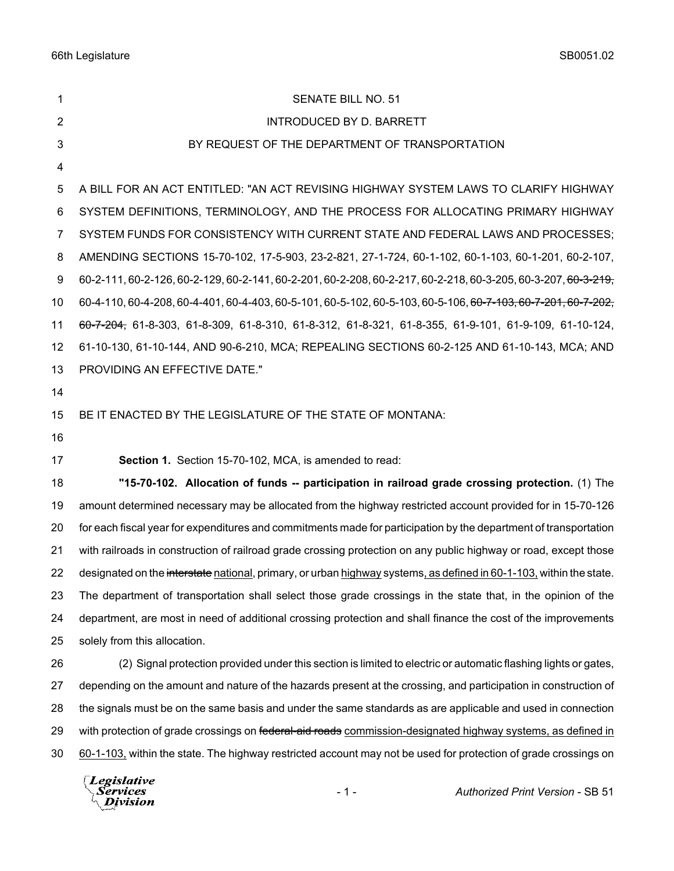| $\mathbf 1$    | SENATE BILL NO. 51                                                                                                       |
|----------------|--------------------------------------------------------------------------------------------------------------------------|
| $\overline{2}$ | <b>INTRODUCED BY D. BARRETT</b>                                                                                          |
| 3              | BY REQUEST OF THE DEPARTMENT OF TRANSPORTATION                                                                           |
| 4              |                                                                                                                          |
| 5              | A BILL FOR AN ACT ENTITLED: "AN ACT REVISING HIGHWAY SYSTEM LAWS TO CLARIFY HIGHWAY                                      |
| 6              | SYSTEM DEFINITIONS, TERMINOLOGY, AND THE PROCESS FOR ALLOCATING PRIMARY HIGHWAY                                          |
| 7              | SYSTEM FUNDS FOR CONSISTENCY WITH CURRENT STATE AND FEDERAL LAWS AND PROCESSES;                                          |
| 8              | AMENDING SECTIONS 15-70-102, 17-5-903, 23-2-821, 27-1-724, 60-1-102, 60-1-103, 60-1-201, 60-2-107,                       |
| 9              | 60-2-111, 60-2-126, 60-2-129, 60-2-141, 60-2-201, 60-2-208, 60-2-217, 60-2-218, 60-3-205, 60-3-207, <del>60-3-219,</del> |
| 10             | 60-4-110, 60-4-208, 60-4-401, 60-4-403, 60-5-101, 60-5-102, 60-5-103, 60-5-106, <del>60-7-103, 60-7-201, 60-7-202,</del> |
| 11             | 60-7-204, 61-8-303, 61-8-309, 61-8-310, 61-8-312, 61-8-321, 61-8-355, 61-9-101, 61-9-109, 61-10-124,                     |
| 12             | 61-10-130, 61-10-144, AND 90-6-210, MCA; REPEALING SECTIONS 60-2-125 AND 61-10-143, MCA; AND                             |
| 13             | PROVIDING AN EFFECTIVE DATE."                                                                                            |
| 14             |                                                                                                                          |
| 15             | BE IT ENACTED BY THE LEGISLATURE OF THE STATE OF MONTANA:                                                                |
| 16             |                                                                                                                          |
| 17             | Section 1. Section 15-70-102, MCA, is amended to read:                                                                   |
| 18             | "15-70-102. Allocation of funds -- participation in railroad grade crossing protection. (1) The                          |
| 19             | amount determined necessary may be allocated from the highway restricted account provided for in 15-70-126               |
| 20             | for each fiscal year for expenditures and commitments made for participation by the department of transportation         |
| 21             | with railroads in construction of railroad grade crossing protection on any public highway or road, except those         |
| 22             | designated on the interstate national, primary, or urban highway systems, as defined in 60-1-103, within the state.      |
| 23             | The department of transportation shall select those grade crossings in the state that, in the opinion of the             |
| 24             | department, are most in need of additional crossing protection and shall finance the cost of the improvements            |
| 25             | solely from this allocation.                                                                                             |
| 26             | (2) Signal protection provided under this section is limited to electric or automatic flashing lights or gates,          |
| 27             | depending on the amount and nature of the hazards present at the crossing, and participation in construction of          |
| 28             | the signals must be on the same basis and under the same standards as are applicable and used in connection              |
| 29             | with protection of grade crossings on federal-aid roads commission-designated highway systems, as defined in             |
| 30             | 60-1-103, within the state. The highway restricted account may not be used for protection of grade crossings on          |
|                | $\Box$ eqislative                                                                                                        |

Legislative<br><sub>\</sub>Services<br><sup>\</sup>\_Division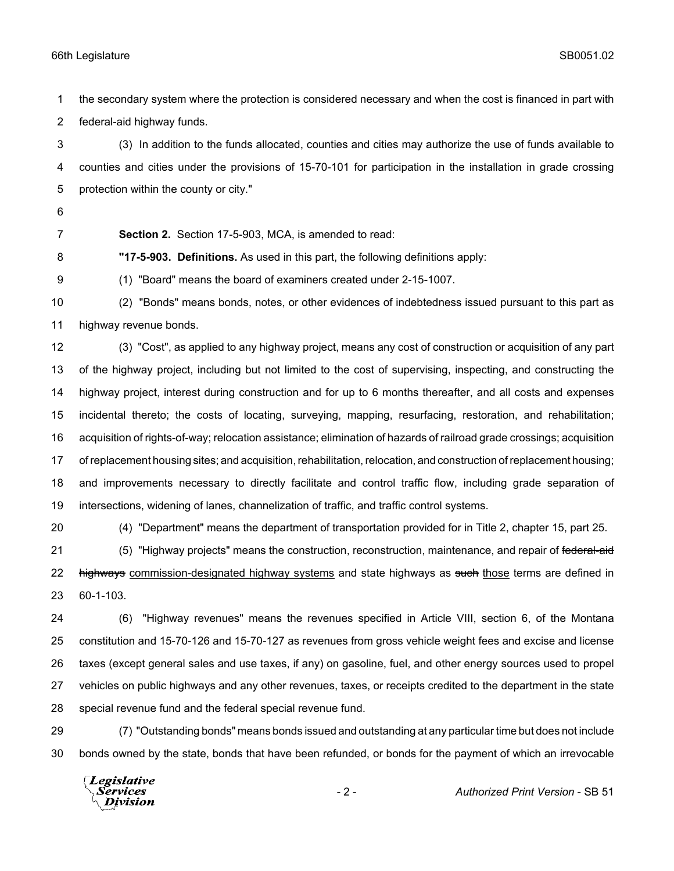the secondary system where the protection is considered necessary and when the cost is financed in part with federal-aid highway funds.

 (3) In addition to the funds allocated, counties and cities may authorize the use of funds available to counties and cities under the provisions of 15-70-101 for participation in the installation in grade crossing protection within the county or city."

- 
- 

**Section 2.** Section 17-5-903, MCA, is amended to read:

**"17-5-903. Definitions.** As used in this part, the following definitions apply:

(1) "Board" means the board of examiners created under 2-15-1007.

 (2) "Bonds" means bonds, notes, or other evidences of indebtedness issued pursuant to this part as highway revenue bonds.

 (3) "Cost", as applied to any highway project, means any cost of construction or acquisition of any part of the highway project, including but not limited to the cost of supervising, inspecting, and constructing the highway project, interest during construction and for up to 6 months thereafter, and all costs and expenses incidental thereto; the costs of locating, surveying, mapping, resurfacing, restoration, and rehabilitation; acquisition of rights-of-way; relocation assistance; elimination of hazards of railroad grade crossings; acquisition of replacement housing sites; and acquisition, rehabilitation, relocation, and construction of replacement housing; and improvements necessary to directly facilitate and control traffic flow, including grade separation of intersections, widening of lanes, channelization of traffic, and traffic control systems.

(4) "Department" means the department of transportation provided for in Title 2, chapter 15, part 25.

21 (5) "Highway projects" means the construction, reconstruction, maintenance, and repair of federal-aid 22 highways commission-designated highway systems and state highways as such those terms are defined in 60-1-103.

 (6) "Highway revenues" means the revenues specified in Article VIII, section 6, of the Montana constitution and 15-70-126 and 15-70-127 as revenues from gross vehicle weight fees and excise and license taxes (except general sales and use taxes, if any) on gasoline, fuel, and other energy sources used to propel vehicles on public highways and any other revenues, taxes, or receipts credited to the department in the state special revenue fund and the federal special revenue fund.

 (7) "Outstanding bonds" means bonds issued and outstanding at any particular time but does not include bonds owned by the state, bonds that have been refunded, or bonds for the payment of which an irrevocable

**Legislative** Services **Division**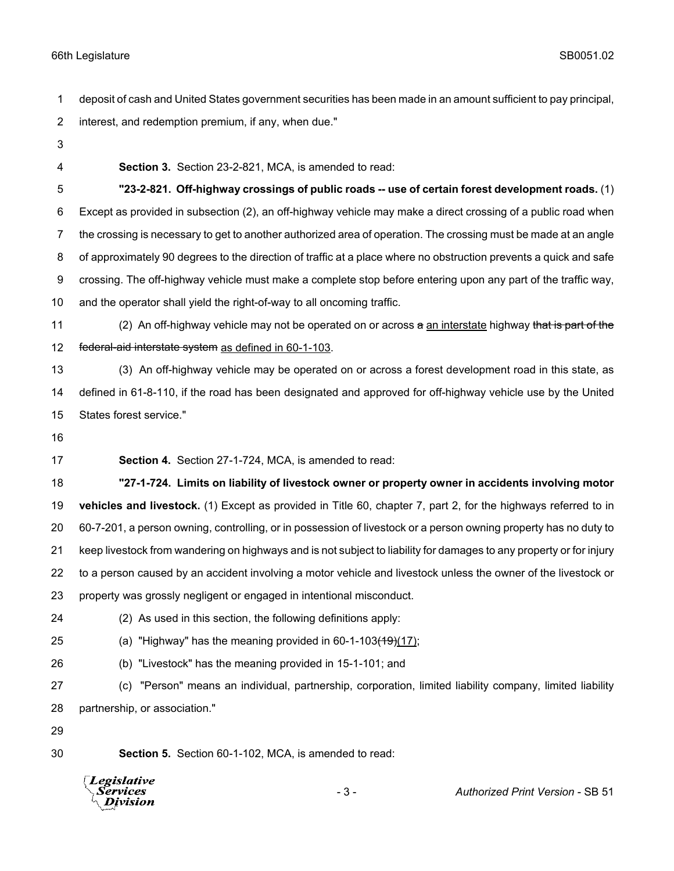deposit of cash and United States government securities has been made in an amount sufficient to pay principal, interest, and redemption premium, if any, when due."

- 
- 

**Section 3.** Section 23-2-821, MCA, is amended to read:

 **"23-2-821. Off-highway crossings of public roads -- use of certain forest development roads.** (1) Except as provided in subsection (2), an off-highway vehicle may make a direct crossing of a public road when the crossing is necessary to get to another authorized area of operation. The crossing must be made at an angle of approximately 90 degrees to the direction of traffic at a place where no obstruction prevents a quick and safe crossing. The off-highway vehicle must make a complete stop before entering upon any part of the traffic way, and the operator shall yield the right-of-way to all oncoming traffic.

11 (2) An off-highway vehicle may not be operated on or across a an interstate highway that is part of the 12 federal-aid interstate system as defined in 60-1-103.

 (3) An off-highway vehicle may be operated on or across a forest development road in this state, as defined in 61-8-110, if the road has been designated and approved for off-highway vehicle use by the United States forest service."

**Section 4.** Section 27-1-724, MCA, is amended to read:

 **"27-1-724. Limits on liability of livestock owner or property owner in accidents involving motor vehicles and livestock.** (1) Except as provided in Title 60, chapter 7, part 2, for the highways referred to in 60-7-201, a person owning, controlling, or in possession of livestock or a person owning property has no duty to keep livestock from wandering on highways and is not subject to liability for damages to any property or for injury to a person caused by an accident involving a motor vehicle and livestock unless the owner of the livestock or property was grossly negligent or engaged in intentional misconduct.

- 
- (2) As used in this section, the following definitions apply:
- 25 (a) "Highway" has the meaning provided in  $60-1-103(19)(17)$ ;
- (b) "Livestock" has the meaning provided in 15-1-101; and
- (c) "Person" means an individual, partnership, corporation, limited liability company, limited liability partnership, or association."
- 

**Section 5.** Section 60-1-102, MCA, is amended to read:



- 3 - *Authorized Print Version* - SB 51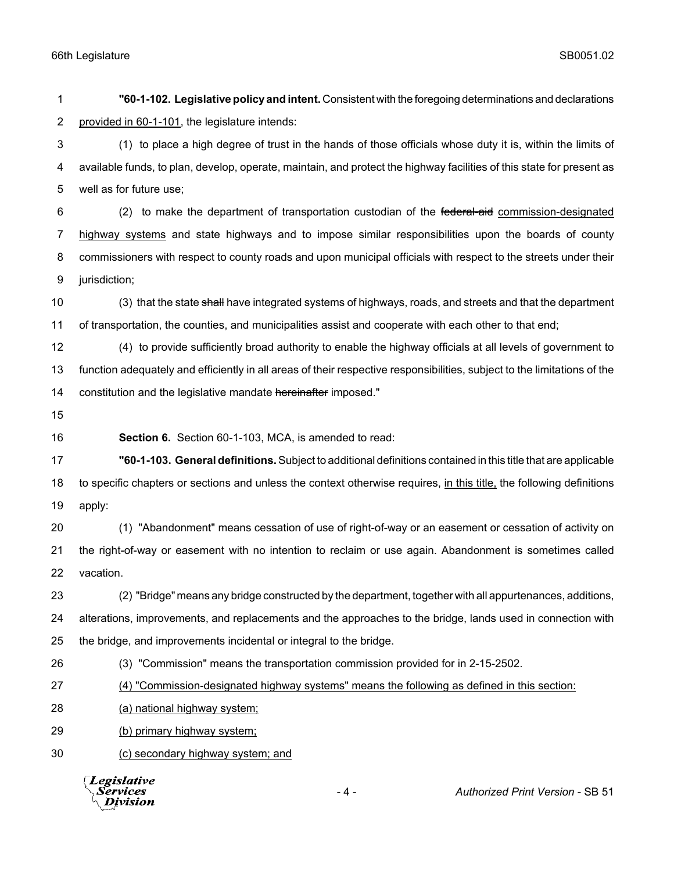**"60-1-102. Legislative policy and intent.** Consistent with the foregoing determinations and declarations 2 provided in 60-1-101, the legislature intends: (1) to place a high degree of trust in the hands of those officials whose duty it is, within the limits of available funds, to plan, develop, operate, maintain, and protect the highway facilities of this state for present as well as for future use; 6 (2) to make the department of transportation custodian of the federal-aid commission-designated highway systems and state highways and to impose similar responsibilities upon the boards of county commissioners with respect to county roads and upon municipal officials with respect to the streets under their jurisdiction; 10 (3) that the state shall have integrated systems of highways, roads, and streets and that the department of transportation, the counties, and municipalities assist and cooperate with each other to that end; (4) to provide sufficiently broad authority to enable the highway officials at all levels of government to function adequately and efficiently in all areas of their respective responsibilities, subject to the limitations of the 14 constitution and the legislative mandate hereinafter imposed." **Section 6.** Section 60-1-103, MCA, is amended to read: **"60-1-103. General definitions.** Subject to additional definitions contained in this title that are applicable to specific chapters or sections and unless the context otherwise requires, in this title, the following definitions apply: (1) "Abandonment" means cessation of use of right-of-way or an easement or cessation of activity on the right-of-way or easement with no intention to reclaim or use again. Abandonment is sometimes called vacation. (2) "Bridge" means any bridge constructed by the department, together with all appurtenances, additions, alterations, improvements, and replacements and the approaches to the bridge, lands used in connection with the bridge, and improvements incidental or integral to the bridge. (3) "Commission" means the transportation commission provided for in 2-15-2502. (4) "Commission-designated highway systems" means the following as defined in this section: (a) national highway system; (b) primary highway system; (c) secondary highway system; and

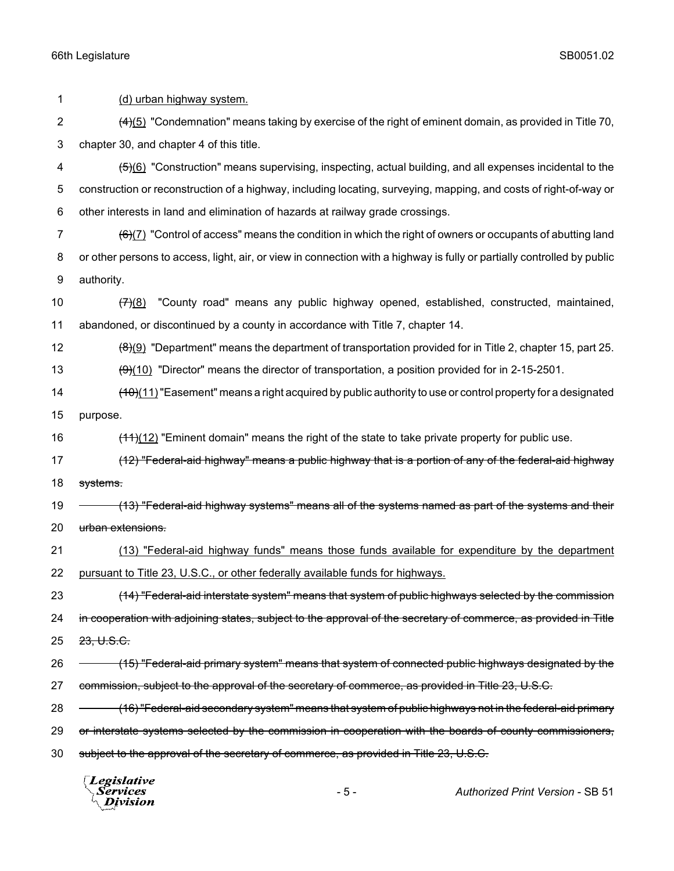1 (d) urban highway system. 2  $(4)(5)$  "Condemnation" means taking by exercise of the right of eminent domain, as provided in Title 70, 3 chapter 30, and chapter 4 of this title. 4 (5)(6) "Construction" means supervising, inspecting, actual building, and all expenses incidental to the 5 construction or reconstruction of a highway, including locating, surveying, mapping, and costs of right-of-way or 6 other interests in land and elimination of hazards at railway grade crossings. 7  $(6)(7)$  "Control of access" means the condition in which the right of owners or occupants of abutting land 8 or other persons to access, light, air, or view in connection with a highway is fully or partially controlled by public 9 authority. 10  $(7)(8)$  "County road" means any public highway opened, established, constructed, maintained, 11 abandoned, or discontinued by a county in accordance with Title 7, chapter 14. 12  $\left(8\right)\left(9\right)$  "Department" means the department of transportation provided for in Title 2, chapter 15, part 25. 13  $\left(9\right)(10)$  "Director" means the director of transportation, a position provided for in 2-15-2501. 14 (10)(11) "Easement" means a right acquired by public authority to use or control property for a designated 15 purpose. 16 (11)(12) "Eminent domain" means the right of the state to take private property for public use. 17 (12) "Federal-aid highway" means a public highway that is a portion of any of the federal-aid highway 18 systems. 19 (13) "Federal-aid highway systems" means all of the systems named as part of the systems and their 20 urban extensions. 21 (13) "Federal-aid highway funds" means those funds available for expenditure by the department 22 pursuant to Title 23, U.S.C., or other federally available funds for highways. 23 (14) "Federal-aid interstate system" means that system of public highways selected by the commission 24 in cooperation with adjoining states, subject to the approval of the secretary of commerce, as provided in Title 25 23, U.S.C. 26 (15) "Federal-aid primary system" means that system of connected public highways designated by the 27 commission, subject to the approval of the secretary of commerce, as provided in Title 23, U.S.C. 28 – (16) "Federal-aid secondary system" means that system of public highways not in the federal-aid primary 29 or interstate systems selected by the commission in cooperation with the boards of county commissioners, 30 subject to the approval of the secretary of commerce, as provided in Title 23, U.S.C.

Legislative *Services* Division

- 5 - *Authorized Print Version* - SB 51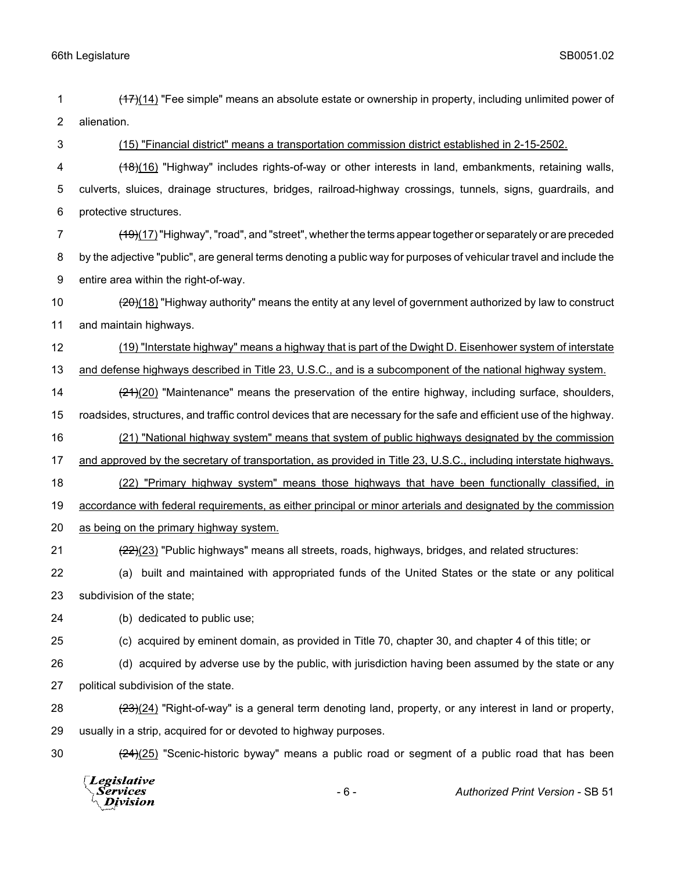- 1 (17)(14) "Fee simple" means an absolute estate or ownership in property, including unlimited power of 2 alienation.
- 

3 (15) "Financial district" means a transportation commission district established in 2-15-2502.

- 4 (18)(16) "Highway" includes rights-of-way or other interests in land, embankments, retaining walls, 5 culverts, sluices, drainage structures, bridges, railroad-highway crossings, tunnels, signs, guardrails, and 6 protective structures.
- 7 (19)(17) "Highway", "road", and "street", whether the terms appear together or separately or are preceded 8 by the adjective "public", are general terms denoting a public way for purposes of vehicular travel and include the 9 entire area within the right-of-way.
- 10 (20)(18) "Highway authority" means the entity at any level of government authorized by law to construct 11 and maintain highways.
- 12 (19) "Interstate highway" means a highway that is part of the Dwight D. Eisenhower system of interstate 13 and defense highways described in Title 23, U.S.C., and is a subcomponent of the national highway system.
- 14 (21)(20) "Maintenance" means the preservation of the entire highway, including surface, shoulders,
- 15 roadsides, structures, and traffic control devices that are necessary for the safe and efficient use of the highway.
- 16 (21) "National highway system" means that system of public highways designated by the commission
- 17 and approved by the secretary of transportation, as provided in Title 23, U.S.C., including interstate highways.
- 18 (22) "Primary highway system" means those highways that have been functionally classified, in
- 19 accordance with federal requirements, as either principal or minor arterials and designated by the commission
- 20 as being on the primary highway system.
- 21 (22)(23) "Public highways" means all streets, roads, highways, bridges, and related structures:
- 22 (a) built and maintained with appropriated funds of the United States or the state or any political 23 subdivision of the state;
- 24 (b) dedicated to public use;
- 

- 25 (c) acquired by eminent domain, as provided in Title 70, chapter 30, and chapter 4 of this title; or
- 26 (d) acquired by adverse use by the public, with jurisdiction having been assumed by the state or any 27 political subdivision of the state.
- 28 (23)(24) "Right-of-way" is a general term denoting land, property, or any interest in land or property, 29 usually in a strip, acquired for or devoted to highway purposes.
- 

30  $\left(24\right)(25)$  "Scenic-historic byway" means a public road or segment of a public road that has been

Legislative *Services* Division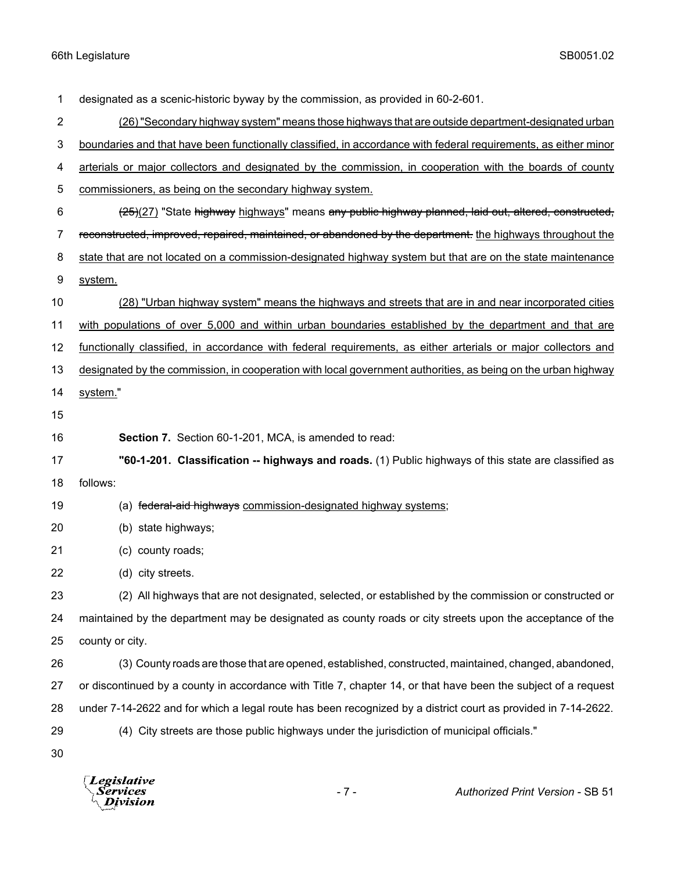designated as a scenic-historic byway by the commission, as provided in 60-2-601. (26) "Secondary highway system" means those highways that are outside department-designated urban boundaries and that have been functionally classified, in accordance with federal requirements, as either minor 4 arterials or major collectors and designated by the commission, in cooperation with the boards of county commissioners, as being on the secondary highway system. 6 (25)(27) "State highway highways" means any public highway planned, laid out, altered, constructed, 7 reconstructed, improved, repaired, maintained, or abandoned by the department. the highways throughout the 8 state that are not located on a commission-designated highway system but that are on the state maintenance system. (28) "Urban highway system" means the highways and streets that are in and near incorporated cities with populations of over 5,000 and within urban boundaries established by the department and that are functionally classified, in accordance with federal requirements, as either arterials or major collectors and designated by the commission, in cooperation with local government authorities, as being on the urban highway 14 system." **Section 7.** Section 60-1-201, MCA, is amended to read: **"60-1-201. Classification -- highways and roads.** (1) Public highways of this state are classified as follows: 19 (a) federal-aid highways commission-designated highway systems; (b) state highways; (c) county roads; (d) city streets. (2) All highways that are not designated, selected, or established by the commission or constructed or maintained by the department may be designated as county roads or city streets upon the acceptance of the county or city. (3) County roads are those that are opened, established, constructed, maintained, changed, abandoned, or discontinued by a county in accordance with Title 7, chapter 14, or that have been the subject of a request under 7-14-2622 and for which a legal route has been recognized by a district court as provided in 7-14-2622. (4) City streets are those public highways under the jurisdiction of municipal officials." 

**Legislative** Division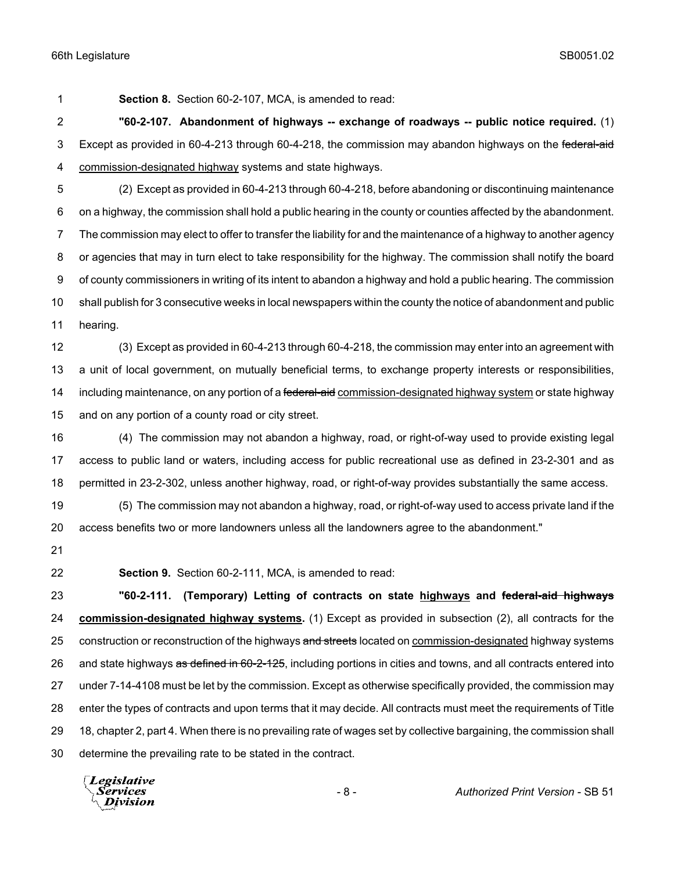**Section 8.** Section 60-2-107, MCA, is amended to read:

 **"60-2-107. Abandonment of highways -- exchange of roadways -- public notice required.** (1) 3 Except as provided in 60-4-213 through 60-4-218, the commission may abandon highways on the federal-aid commission-designated highway systems and state highways.

 (2) Except as provided in 60-4-213 through 60-4-218, before abandoning or discontinuing maintenance on a highway, the commission shall hold a public hearing in the county or counties affected by the abandonment. The commission may elect to offer to transfer the liability for and the maintenance of a highway to another agency or agencies that may in turn elect to take responsibility for the highway. The commission shall notify the board of county commissioners in writing of its intent to abandon a highway and hold a public hearing. The commission shall publish for 3 consecutive weeks in local newspapers within the county the notice of abandonment and public hearing.

 (3) Except as provided in 60-4-213 through 60-4-218, the commission may enter into an agreement with a unit of local government, on mutually beneficial terms, to exchange property interests or responsibilities, 14 including maintenance, on any portion of a federal-aid commission-designated highway system or state highway and on any portion of a county road or city street.

 (4) The commission may not abandon a highway, road, or right-of-way used to provide existing legal access to public land or waters, including access for public recreational use as defined in 23-2-301 and as permitted in 23-2-302, unless another highway, road, or right-of-way provides substantially the same access.

 (5) The commission may not abandon a highway, road, or right-of-way used to access private land if the access benefits two or more landowners unless all the landowners agree to the abandonment."

- 
- 

**Section 9.** Section 60-2-111, MCA, is amended to read:

 **"60-2-111. (Temporary) Letting of contracts on state highways and federal-aid highways commission-designated highway systems.** (1) Except as provided in subsection (2), all contracts for the 25 construction or reconstruction of the highways and streets located on commission-designated highway systems 26 and state highways as defined in 60-2-125, including portions in cities and towns, and all contracts entered into under 7-14-4108 must be let by the commission. Except as otherwise specifically provided, the commission may enter the types of contracts and upon terms that it may decide. All contracts must meet the requirements of Title 18, chapter 2, part 4. When there is no prevailing rate of wages set by collective bargaining, the commission shall determine the prevailing rate to be stated in the contract.

**Legislative** *Services* **Division**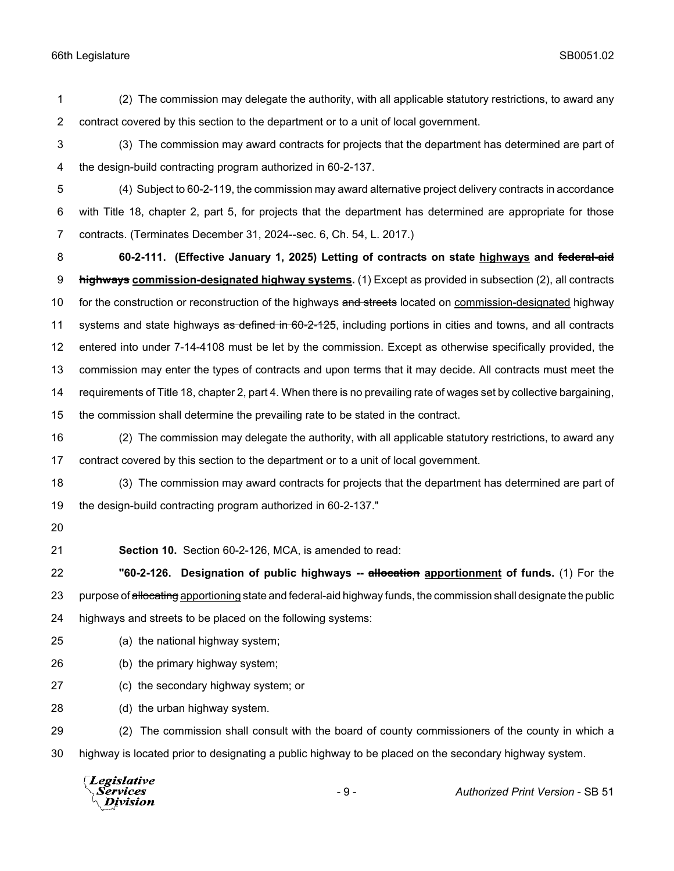(2) The commission may delegate the authority, with all applicable statutory restrictions, to award any contract covered by this section to the department or to a unit of local government.

- (3) The commission may award contracts for projects that the department has determined are part of the design-build contracting program authorized in 60-2-137.
- (4) Subject to 60-2-119, the commission may award alternative project delivery contracts in accordance with Title 18, chapter 2, part 5, for projects that the department has determined are appropriate for those contracts. (Terminates December 31, 2024--sec. 6, Ch. 54, L. 2017.)

 **60-2-111. (Effective January 1, 2025) Letting of contracts on state highways and federal-aid highways commission-designated highway systems.** (1) Except as provided in subsection (2), all contracts 10 for the construction or reconstruction of the highways and streets located on commission-designated highway 11 systems and state highways as defined in 60-2-125, including portions in cities and towns, and all contracts entered into under 7-14-4108 must be let by the commission. Except as otherwise specifically provided, the commission may enter the types of contracts and upon terms that it may decide. All contracts must meet the requirements of Title 18, chapter 2, part 4. When there is no prevailing rate of wages set by collective bargaining, the commission shall determine the prevailing rate to be stated in the contract.

 (2) The commission may delegate the authority, with all applicable statutory restrictions, to award any contract covered by this section to the department or to a unit of local government.

 (3) The commission may award contracts for projects that the department has determined are part of the design-build contracting program authorized in 60-2-137."

- 
- 

**Section 10.** Section 60-2-126, MCA, is amended to read:

 **"60-2-126. Designation of public highways -- allocation apportionment of funds.** (1) For the 23 purpose of allocating apportioning state and federal-aid highway funds, the commission shall designate the public highways and streets to be placed on the following systems:

- (a) the national highway system;
- (b) the primary highway system;
- (c) the secondary highway system; or
- (d) the urban highway system.

 (2) The commission shall consult with the board of county commissioners of the county in which a highway is located prior to designating a public highway to be placed on the secondary highway system.

Legislative - 9 - *Authorized Print Version* - SB 51*Services* **Division**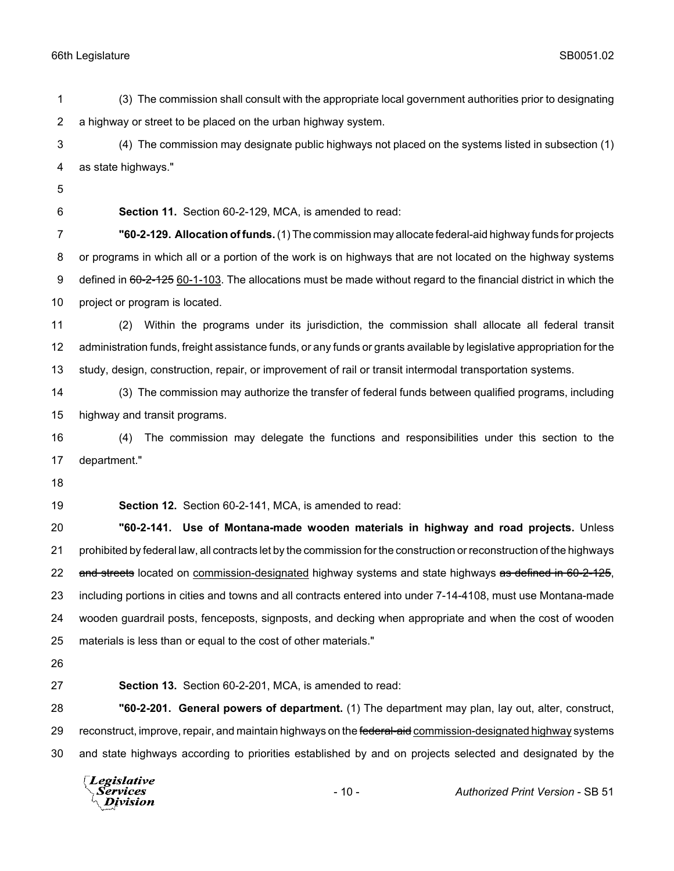(3) The commission shall consult with the appropriate local government authorities prior to designating a highway or street to be placed on the urban highway system.

 (4) The commission may designate public highways not placed on the systems listed in subsection (1) as state highways."

**Section 11.** Section 60-2-129, MCA, is amended to read:

 **"60-2-129. Allocation of funds.** (1) The commission may allocate federal-aid highway funds for projects or programs in which all or a portion of the work is on highways that are not located on the highway systems 9 defined in 60-2-125 60-1-103. The allocations must be made without regard to the financial district in which the project or program is located.

 (2) Within the programs under its jurisdiction, the commission shall allocate all federal transit administration funds, freight assistance funds, or any funds or grants available by legislative appropriation for the study, design, construction, repair, or improvement of rail or transit intermodal transportation systems.

 (3) The commission may authorize the transfer of federal funds between qualified programs, including highway and transit programs.

 (4) The commission may delegate the functions and responsibilities under this section to the department."

**Section 12.** Section 60-2-141, MCA, is amended to read:

 **"60-2-141. Use of Montana-made wooden materials in highway and road projects.** Unless prohibited by federal law, all contracts let by the commission for the construction or reconstruction of the highways 22 and streets located on commission-designated highway systems and state highways as defined in 60-2-125, including portions in cities and towns and all contracts entered into under 7-14-4108, must use Montana-made wooden guardrail posts, fenceposts, signposts, and decking when appropriate and when the cost of wooden materials is less than or equal to the cost of other materials."

**Section 13.** Section 60-2-201, MCA, is amended to read:

 **"60-2-201. General powers of department.** (1) The department may plan, lay out, alter, construct, 29 reconstruct, improve, repair, and maintain highways on the federal-aid commission-designated highway systems and state highways according to priorities established by and on projects selected and designated by the

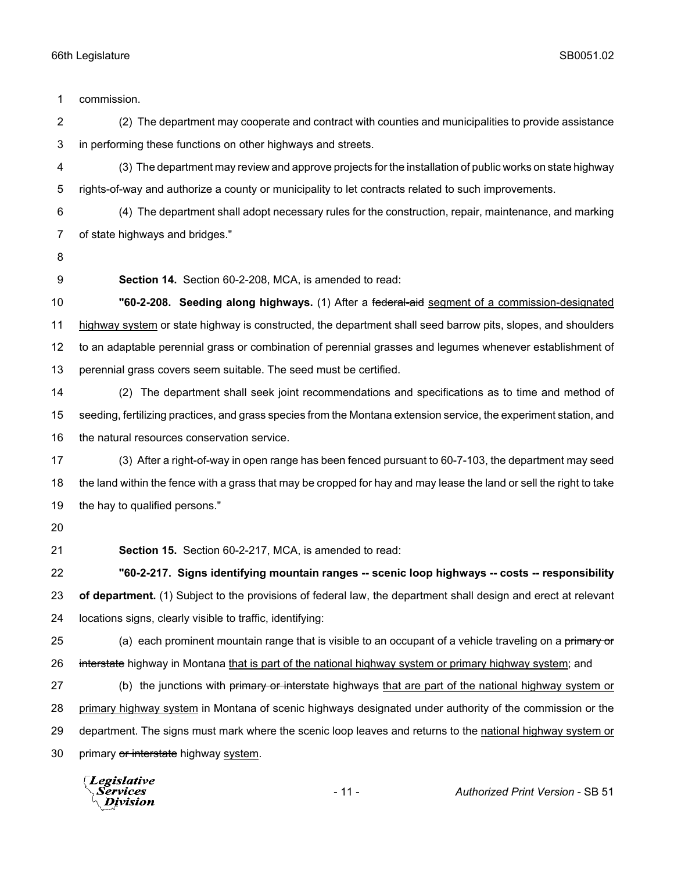commission. (2) The department may cooperate and contract with counties and municipalities to provide assistance in performing these functions on other highways and streets. (3) The department may review and approve projects for the installation of public works on state highway rights-of-way and authorize a county or municipality to let contracts related to such improvements. (4) The department shall adopt necessary rules for the construction, repair, maintenance, and marking of state highways and bridges." **Section 14.** Section 60-2-208, MCA, is amended to read: **"60-2-208. Seeding along highways.** (1) After a federal-aid segment of a commission-designated highway system or state highway is constructed, the department shall seed barrow pits, slopes, and shoulders to an adaptable perennial grass or combination of perennial grasses and legumes whenever establishment of perennial grass covers seem suitable. The seed must be certified. (2) The department shall seek joint recommendations and specifications as to time and method of seeding, fertilizing practices, and grass species from the Montana extension service, the experiment station, and the natural resources conservation service. (3) After a right-of-way in open range has been fenced pursuant to 60-7-103, the department may seed the land within the fence with a grass that may be cropped for hay and may lease the land or sell the right to take the hay to qualified persons." **Section 15.** Section 60-2-217, MCA, is amended to read: **"60-2-217. Signs identifying mountain ranges -- scenic loop highways -- costs -- responsibility of department.** (1) Subject to the provisions of federal law, the department shall design and erect at relevant locations signs, clearly visible to traffic, identifying: 25 (a) each prominent mountain range that is visible to an occupant of a vehicle traveling on a primary or 26 interstate highway in Montana that is part of the national highway system or primary highway system; and 27 (b) the junctions with primary or interstate highways that are part of the national highway system or primary highway system in Montana of scenic highways designated under authority of the commission or the department. The signs must mark where the scenic loop leaves and returns to the national highway system or 30 primary or interstate highway system.

Legislative Services **Division**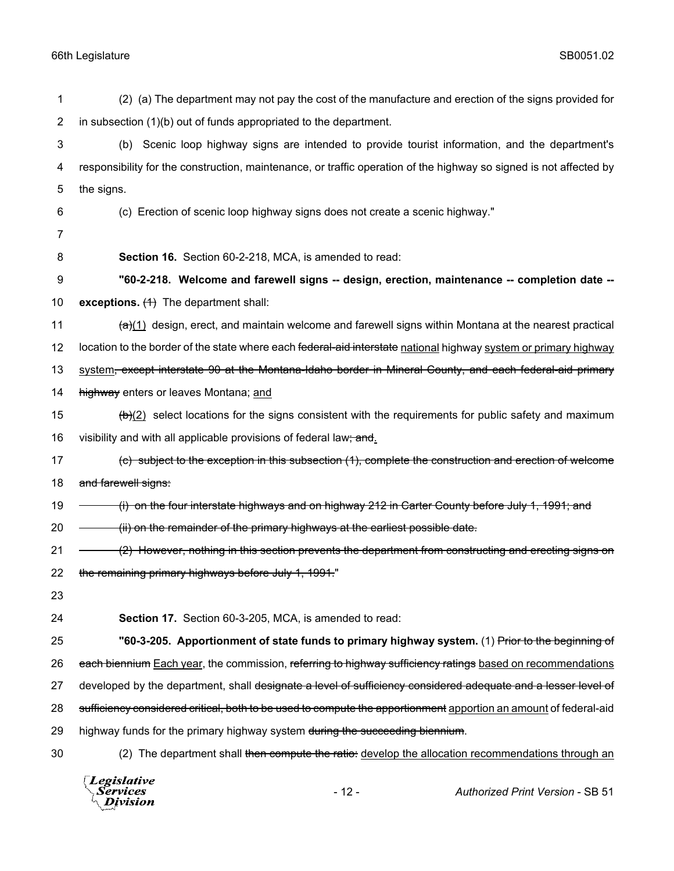| 1              | (2) (a) The department may not pay the cost of the manufacture and erection of the signs provided for                       |
|----------------|-----------------------------------------------------------------------------------------------------------------------------|
| $\overline{2}$ | in subsection (1)(b) out of funds appropriated to the department.                                                           |
| 3              | Scenic loop highway signs are intended to provide tourist information, and the department's<br>(b)                          |
| 4              | responsibility for the construction, maintenance, or traffic operation of the highway so signed is not affected by          |
| 5              | the signs.                                                                                                                  |
| 6              | (c) Erection of scenic loop highway signs does not create a scenic highway."                                                |
| 7              |                                                                                                                             |
| 8              | Section 16. Section 60-2-218, MCA, is amended to read:                                                                      |
| 9              | "60-2-218. Welcome and farewell signs -- design, erection, maintenance -- completion date --                                |
| 10             | exceptions. $(1)$ The department shall:                                                                                     |
| 11             | $\frac{a}{a}(1)$ design, erect, and maintain welcome and farewell signs within Montana at the nearest practical             |
| 12             | location to the border of the state where each <del>federal-aid interstate</del> national highway system or primary highway |
| 13             | system, except interstate 90 at the Montana-Idaho border in Mineral County, and each federal-aid primary                    |
| 14             | highway enters or leaves Montana; and                                                                                       |
| 15             | $\left(\frac{b}{c}\right)$ select locations for the signs consistent with the requirements for public safety and maximum    |
| 16             | visibility and with all applicable provisions of federal law; and.                                                          |
| 17             | (c) subject to the exception in this subsection (1), complete the construction and erection of welcome                      |
| 18             | and farewell signs:                                                                                                         |
| 19             | (i) on the four interstate highways and on highway 212 in Carter County before July 1, 1991; and                            |
| 20             | (ii) on the remainder of the primary highways at the earliest possible date.                                                |
| 21             | (2) However, nothing in this section prevents the department from constructing and erecting signs on                        |
| 22             | the remaining primary highways before July 1, 1991."                                                                        |
| 23             |                                                                                                                             |
| 24             | Section 17. Section 60-3-205, MCA, is amended to read:                                                                      |
| 25             | "60-3-205. Apportionment of state funds to primary highway system. (1) Prior to the beginning of                            |
| 26             | each biennium Each year, the commission, referring to highway sufficiency ratings based on recommendations                  |
| 27             | developed by the department, shall designate a level of sufficiency considered adequate and a lesser level of               |
| 28             | sufficiency considered critical, both to be used to compute the apportionment apportion an amount of federal-aid            |
| 29             | highway funds for the primary highway system during the succeeding biennium.                                                |
| 30             | (2) The department shall then compute the ratio: develop the allocation recommendations through an                          |
|                |                                                                                                                             |

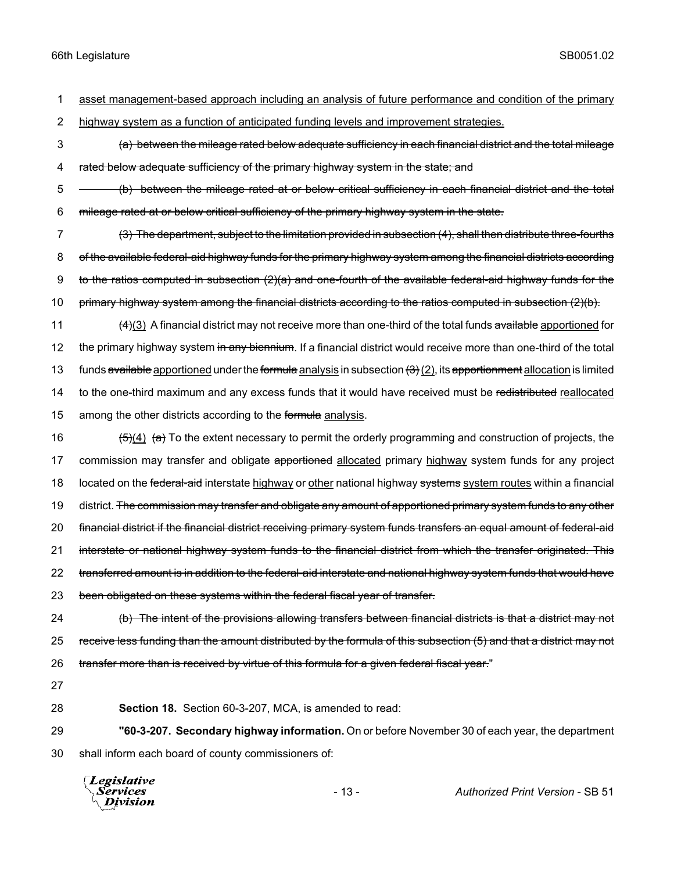- 1 asset management-based approach including an analysis of future performance and condition of the primary
- 2 highway system as a function of anticipated funding levels and improvement strategies.
- 3 (a) between the mileage rated below adequate sufficiency in each financial district and the total mileage 4 rated below adequate sufficiency of the primary highway system in the state; and
- 5 (b) between the mileage rated at or below critical sufficiency in each financial district and the total 6 mileage rated at or below critical sufficiency of the primary highway system in the state.
- 7 (3) The department, subject to the limitation provided in subsection (4), shall then distribute three-fourths 8 of the available federal-aid highway funds for the primary highway system among the financial districts according 9 to the ratios computed in subsection  $(2)(a)$  and one-fourth of the available federal-aid highway funds for the 10 primary highway system among the financial districts according to the ratios computed in subsection (2)(b).
- 11 (4)(3) A financial district may not receive more than one-third of the total funds available apportioned for 12 the primary highway system in any biennium. If a financial district would receive more than one-third of the total 13 funds available apportioned under the formula analysis in subsection  $(3)(2)$ , its apportionment allocation is limited 14 to the one-third maximum and any excess funds that it would have received must be redistributed reallocated 15 among the other districts according to the formula analysis.
- 16  $(5)(4)$   $(a)$  To the extent necessary to permit the orderly programming and construction of projects, the 17 commission may transfer and obligate apportioned allocated primary highway system funds for any project 18 located on the federal-aid interstate highway or other national highway systems system routes within a financial 19 district. <del>The commission may transfer and obligate any amount of apportioned primary system funds to any other</del> 20 financial district if the financial district receiving primary system funds transfers an equal amount of federal-aid 21 interstate or national highway system funds to the financial district from which the transfer originated. This 22 transferred amount is in addition to the federal-aid interstate and national highway system funds that would have 23 been obligated on these systems within the federal fiscal year of transfer.
- 24 (b) The intent of the provisions allowing transfers between financial districts is that a district may not 25 receive less funding than the amount distributed by the formula of this subsection (5) and that a district may not 26 transfer more than is received by virtue of this formula for a given federal fiscal year."
- 27
- 

28 **Section 18.** Section 60-3-207, MCA, is amended to read:

29 **"60-3-207. Secondary highway information.** On or before November 30 of each year, the department 30 shall inform each board of county commissioners of:

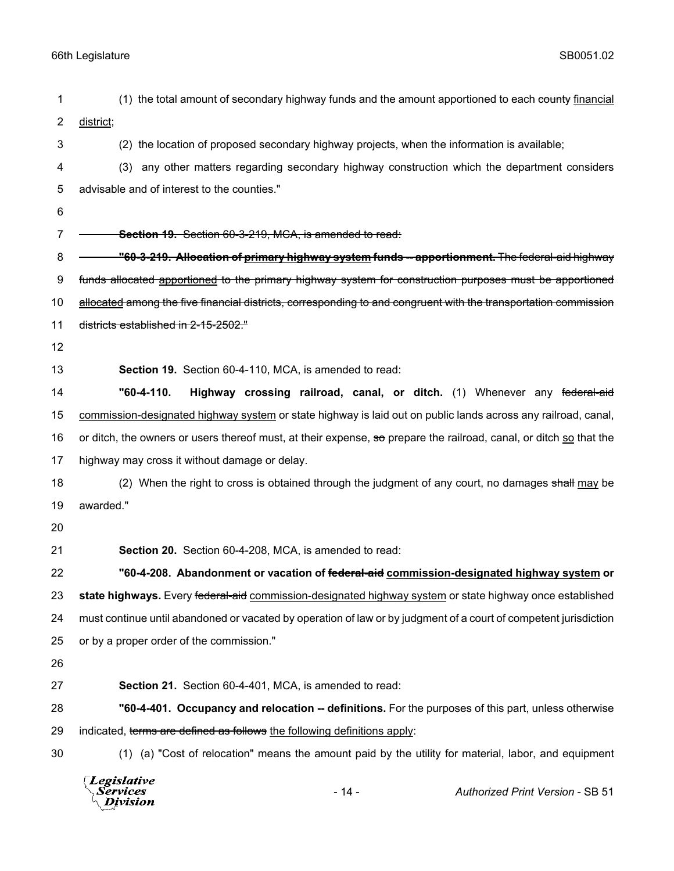| 1  | (1) the total amount of secondary highway funds and the amount apportioned to each county financial                |
|----|--------------------------------------------------------------------------------------------------------------------|
| 2  | district;                                                                                                          |
| 3  | (2) the location of proposed secondary highway projects, when the information is available;                        |
| 4  | any other matters regarding secondary highway construction which the department considers<br>(3)                   |
| 5  | advisable and of interest to the counties."                                                                        |
| 6  |                                                                                                                    |
| 7  | Section 19. Section 60-3-219, MCA, is amended to read:                                                             |
| 8  | <u>"60-3-219. Allocation of primary highway system funds -- apportionment. The federal-aid highway "</u>           |
| 9  | funds allocated apportioned to the primary highway system for construction purposes must be apportioned            |
| 10 | allocated among the five financial districts, corresponding to and congruent with the transportation commission    |
| 11 | districts established in 2-15-2502."                                                                               |
| 12 |                                                                                                                    |
| 13 | Section 19. Section 60-4-110, MCA, is amended to read:                                                             |
| 14 | "60-4-110.<br>Highway crossing railroad, canal, or ditch. (1) Whenever any federal-aid                             |
| 15 | commission-designated highway system or state highway is laid out on public lands across any railroad, canal,      |
| 16 | or ditch, the owners or users thereof must, at their expense, so prepare the railroad, canal, or ditch so that the |
| 17 | highway may cross it without damage or delay.                                                                      |
| 18 | (2) When the right to cross is obtained through the judgment of any court, no damages shall may be                 |
| 19 | awarded."                                                                                                          |
| 20 |                                                                                                                    |
| 21 | Section 20. Section 60-4-208, MCA, is amended to read:                                                             |
| 22 | "60-4-208. Abandonment or vacation of <del>federal-aid</del> commission-designated highway system or               |
| 23 | state highways. Every federal-aid commission-designated highway system or state highway once established           |
| 24 | must continue until abandoned or vacated by operation of law or by judgment of a court of competent jurisdiction   |
| 25 | or by a proper order of the commission."                                                                           |
| 26 |                                                                                                                    |
| 27 | Section 21. Section 60-4-401, MCA, is amended to read:                                                             |
| 28 | "60-4-401. Occupancy and relocation -- definitions. For the purposes of this part, unless otherwise                |
| 29 | indicated, terms are defined as follows the following definitions apply:                                           |
| 30 | (1) (a) "Cost of relocation" means the amount paid by the utility for material, labor, and equipment               |
|    |                                                                                                                    |

| Legislative<br>Services<br>$\setminus$ Division | - 14 - | <b>Authorized Print Version - SB 51</b> |
|-------------------------------------------------|--------|-----------------------------------------|
|                                                 |        |                                         |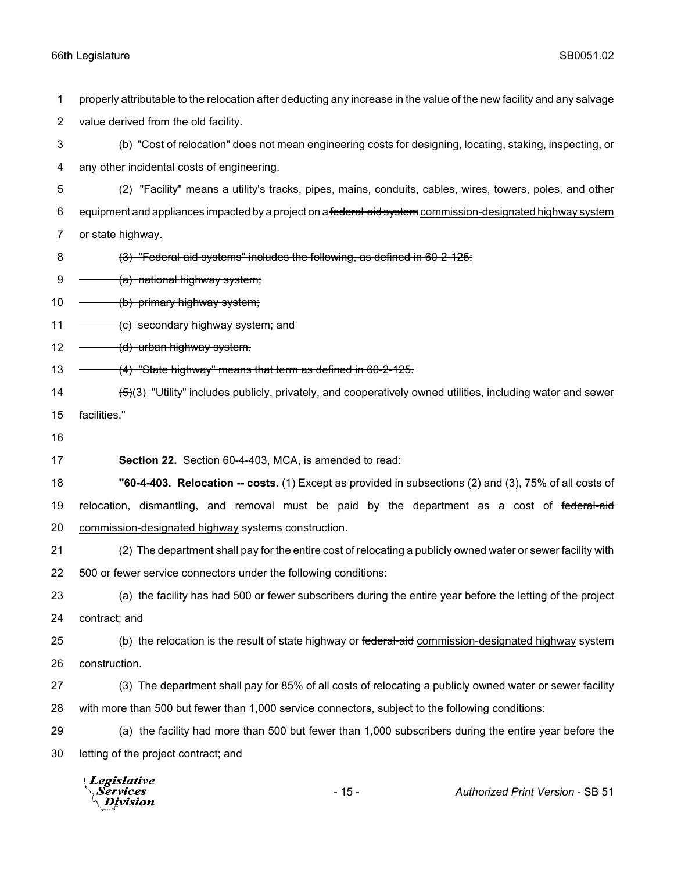properly attributable to the relocation after deducting any increase in the value of the new facility and any salvage value derived from the old facility.

 (b) "Cost of relocation" does not mean engineering costs for designing, locating, staking, inspecting, or any other incidental costs of engineering.

 (2) "Facility" means a utility's tracks, pipes, mains, conduits, cables, wires, towers, poles, and other 6 equipment and appliances impacted by a project on a federal-aid system commission-designated highway system or state highway.

- 8 (3) "Federal-aid systems" includes the following, as defined in 60-2-125:
- $9 \quad \quad$  (a) national highway system;

10 - (b) primary highway system;

11  $\leftarrow$  (c) secondary highway system; and

 $12 \left( d \right)$  urban highway system.

- 13 (4) "State highway" means that term as defined in 60-2-125.
- 14 (5)(3) "Utility" includes publicly, privately, and cooperatively owned utilities, including water and sewer facilities."
- 

**Section 22.** Section 60-4-403, MCA, is amended to read:

 **"60-4-403. Relocation -- costs.** (1) Except as provided in subsections (2) and (3), 75% of all costs of 19 relocation, dismantling, and removal must be paid by the department as a cost of federal-aid commission-designated highway systems construction.

 (2) The department shall pay for the entire cost of relocating a publicly owned water or sewer facility with 500 or fewer service connectors under the following conditions:

 (a) the facility has had 500 or fewer subscribers during the entire year before the letting of the project contract; and

25 (b) the relocation is the result of state highway or federal-aid commission-designated highway system construction.

- (3) The department shall pay for 85% of all costs of relocating a publicly owned water or sewer facility with more than 500 but fewer than 1,000 service connectors, subject to the following conditions:
- (a) the facility had more than 500 but fewer than 1,000 subscribers during the entire year before the letting of the project contract; and

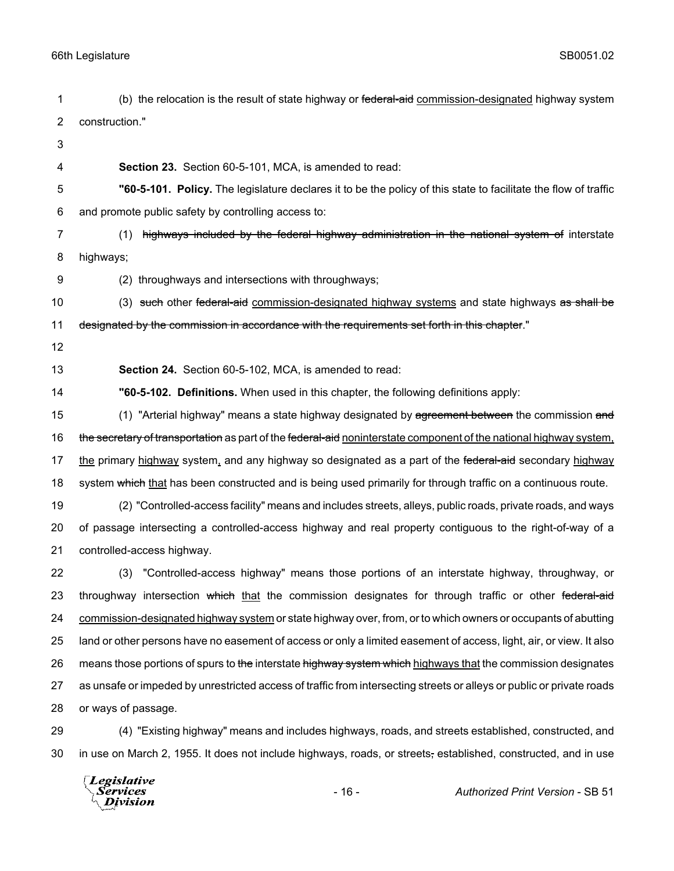| 1  | (b) the relocation is the result of state highway or federal-aid commission-designated highway system                 |
|----|-----------------------------------------------------------------------------------------------------------------------|
| 2  | construction."                                                                                                        |
| 3  |                                                                                                                       |
| 4  | Section 23. Section 60-5-101, MCA, is amended to read:                                                                |
| 5  | "60-5-101. Policy. The legislature declares it to be the policy of this state to facilitate the flow of traffic       |
| 6  | and promote public safety by controlling access to:                                                                   |
| 7  | highways included by the federal highway administration in the national system of interstate<br>(1)                   |
| 8  | highways;                                                                                                             |
| 9  | (2) throughways and intersections with throughways;                                                                   |
| 10 | (3) such other federal-aid commission-designated highway systems and state highways as shall be                       |
| 11 | designated by the commission in accordance with the requirements set forth in this chapter."                          |
| 12 |                                                                                                                       |
| 13 | Section 24. Section 60-5-102, MCA, is amended to read:                                                                |
| 14 | "60-5-102. Definitions. When used in this chapter, the following definitions apply:                                   |
| 15 | (1) "Arterial highway" means a state highway designated by agreement between the commission and                       |
| 16 | the secretary of transportation as part of the federal-aid noninterstate component of the national highway system,    |
| 17 | the primary highway system, and any highway so designated as a part of the federal-aid secondary highway              |
| 18 | system which that has been constructed and is being used primarily for through traffic on a continuous route.         |
| 19 | (2) "Controlled-access facility" means and includes streets, alleys, public roads, private roads, and ways            |
| 20 | of passage intersecting a controlled-access highway and real property contiguous to the right-of-way of a             |
| 21 | controlled-access highway.                                                                                            |
| 22 | "Controlled-access highway" means those portions of an interstate highway, throughway, or<br>(3)                      |
| 23 | throughway intersection which that the commission designates for through traffic or other federal-aid                 |
| 24 | commission-designated highway system or state highway over, from, or to which owners or occupants of abutting         |
| 25 | land or other persons have no easement of access or only a limited easement of access, light, air, or view. It also   |
| 26 | means those portions of spurs to the interstate highway system which highways that the commission designates          |
| 27 | as unsafe or impeded by unrestricted access of traffic from intersecting streets or alleys or public or private roads |
| 28 | or ways of passage.                                                                                                   |
| 29 | (4) "Existing highway" means and includes highways, roads, and streets established, constructed, and                  |
| 30 | in use on March 2, 1955. It does not include highways, roads, or streets, established, constructed, and in use        |

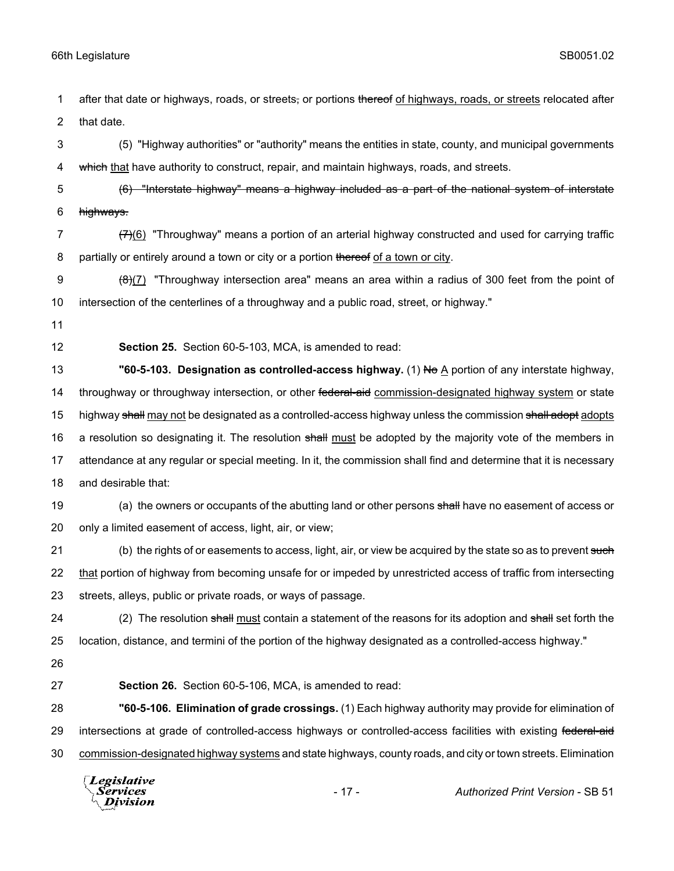1 after that date or highways, roads, or streets, or portions thereof of highways, roads, or streets relocated after 2 that date.

3 (5) "Highway authorities" or "authority" means the entities in state, county, and municipal governments 4 which that have authority to construct, repair, and maintain highways, roads, and streets.

5 (6) "Interstate highway" means a highway included as a part of the national system of interstate 6 highways.

7  $\left(7\right)$ (6) "Throughway" means a portion of an arterial highway constructed and used for carrying traffic 8 partially or entirely around a town or city or a portion thereof of a town or city.

9  $\left(\frac{1}{2}\right)$  "Throughway intersection area" means an area within a radius of 300 feet from the point of 10 intersection of the centerlines of a throughway and a public road, street, or highway."

11

12 **Section 25.** Section 60-5-103, MCA, is amended to read:

13 **"60-5-103. Designation as controlled-access highway.** (1) No A portion of any interstate highway, 14 throughway or throughway intersection, or other federal-aid commission-designated highway system or state 15 highway shall may not be designated as a controlled-access highway unless the commission shall adopt adopts 16 a resolution so designating it. The resolution shall must be adopted by the majority vote of the members in 17 attendance at any regular or special meeting. In it, the commission shall find and determine that it is necessary 18 and desirable that:

19 (a) the owners or occupants of the abutting land or other persons shall have no easement of access or 20 only a limited easement of access, light, air, or view;

21 (b) the rights of or easements to access, light, air, or view be acquired by the state so as to prevent such 22 that portion of highway from becoming unsafe for or impeded by unrestricted access of traffic from intersecting 23 streets, alleys, public or private roads, or ways of passage.

24 (2) The resolution shall must contain a statement of the reasons for its adoption and shall set forth the 25 location, distance, and termini of the portion of the highway designated as a controlled-access highway."

26

27 **Section 26.** Section 60-5-106, MCA, is amended to read:

28 **"60-5-106. Elimination of grade crossings.** (1) Each highway authority may provide for elimination of 29 intersections at grade of controlled-access highways or controlled-access facilities with existing federal-aid 30 commission-designated highway systems and state highways, county roads, and city or town streets. Elimination

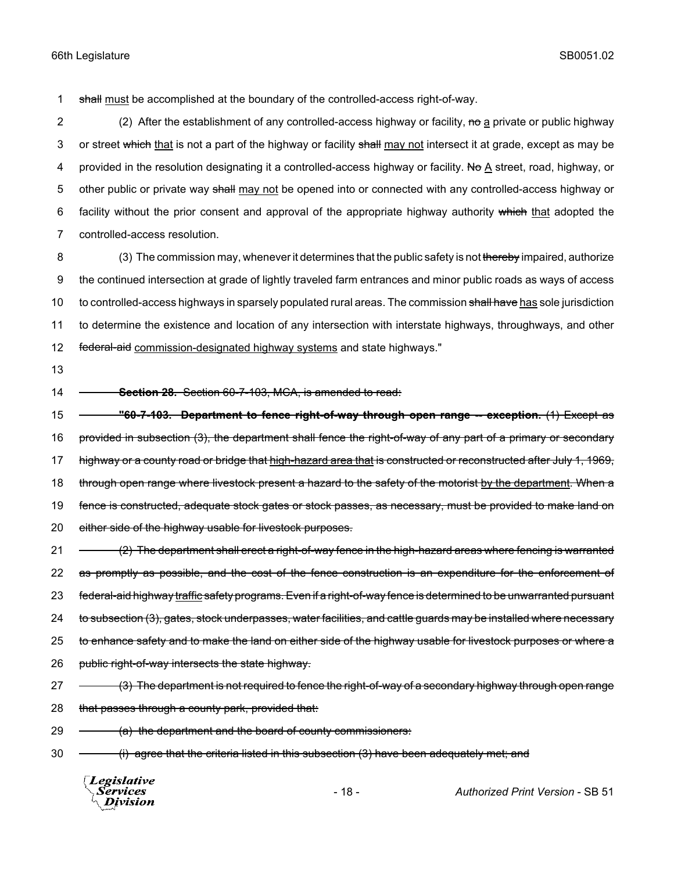1 shall must be accomplished at the boundary of the controlled-access right-of-way.

2 (2) After the establishment of any controlled-access highway or facility, no a private or public highway 3 or street which that is not a part of the highway or facility shall may not intersect it at grade, except as may be 4 provided in the resolution designating it a controlled-access highway or facility. No A street, road, highway, or 5 other public or private way shall may not be opened into or connected with any controlled-access highway or 6 facility without the prior consent and approval of the appropriate highway authority which that adopted the 7 controlled-access resolution.

8 (3) The commission may, whenever it determines that the public safety is not thereby impaired, authorize 9 the continued intersection at grade of lightly traveled farm entrances and minor public roads as ways of access 10 to controlled-access highways in sparsely populated rural areas. The commission shall have has sole jurisdiction 11 to determine the existence and location of any intersection with interstate highways, throughways, and other 12 federal-aid commission-designated highway systems and state highways."

13

14 **Section 28.** Section 60-7-103, MCA, is amended to read:

15 **"60-7-103. Department to fence right-of-way through open range -- exception.** (1) Except as 16 provided in subsection (3), the department shall fence the right-of-way of any part of a primary or secondary 17 highway or a county road or bridge that high-hazard area that is constructed or reconstructed after July 1, 1969, 18 through open range where livestock present a hazard to the safety of the motorist by the department. When a 19 fence is constructed, adequate stock gates or stock passes, as necessary, must be provided to make land on 20 either side of the highway usable for livestock purposes. 21 - (2) The department shall erect a right-of-way fence in the high-hazard areas where fencing is warranted 22 as promptly as possible, and the cost of the fence construction is an expenditure for the enforcement of

23 federal-aid highway traffic safety programs. Even if a right-of-way fence is determined to be unwarranted pursuant

24 to subsection (3), gates, stock underpasses, water facilities, and cattle guards may be installed where necessary

25 to enhance safety and to make the land on either side of the highway usable for livestock purposes or where a

26 public right-of-way intersects the state highway.

27  $-$  (3) The department is not required to fence the right-of-way of a secondary highway through open range

28 that passes through a county park, provided that:

 $29 \leftarrow$  (a) the department and the board of county commissioners:

30 (i) agree that the criteria listed in this subsection (3) have been adequately met; and

Legislative *Services* Division

- 18 - *Authorized Print Version* - SB 51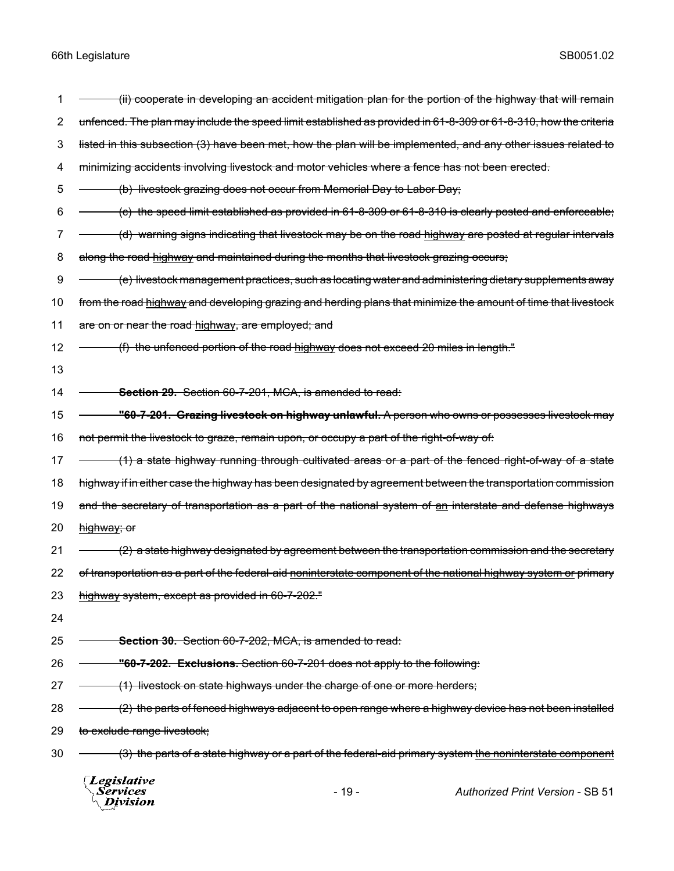| 1  | ii) cooperate in developing an accident mitigation plan for the portion of the highway that will remain)         |  |  |
|----|------------------------------------------------------------------------------------------------------------------|--|--|
| 2  | unfenced. The plan may include the speed limit established as provided in 61-8-309 or 61-8-310, how the criteria |  |  |
| 3  | listed in this subsection (3) have been met, how the plan will be implemented, and any other issues related to   |  |  |
| 4  | minimizing accidents involving livestock and motor vehicles where a fence has not been erected.                  |  |  |
| 5  | (b) livestock grazing does not occur from Memorial Day to Labor Day;                                             |  |  |
| 6  | $(c)$ the speed limit established as provided in 61-8-309 or 61-8-310 is clearly posted and enforceable;         |  |  |
| 7  | (d) warning signs indicating that livestock may be on the road highway are posted at regular intervals           |  |  |
| 8  | along the road highway and maintained during the months that livestock grazing occurs;                           |  |  |
| 9  | (e) livestock management practices, such as locating water and administering dietary supplements away            |  |  |
| 10 | from the road highway and developing grazing and herding plans that minimize the amount of time that livestock   |  |  |
| 11 | are on or near the road highway, are employed; and                                                               |  |  |
| 12 | (f) the unfenced portion of the road highway does not exceed 20 miles in length."                                |  |  |
| 13 |                                                                                                                  |  |  |
| 14 | Section 29. Section 60-7-201, MCA, is amended to read:                                                           |  |  |
| 15 | <u>"60-7-201.  Grazing livestock on highway unlawful. A person who owns or possesses livestock may </u>          |  |  |
| 16 | not permit the livestock to graze, remain upon, or occupy a part of the right-of-way of:                         |  |  |
| 17 | (1) a state highway running through cultivated areas or a part of the fenced right-of-way of a state             |  |  |
| 18 | highway if in either case the highway has been designated by agreement between the transportation commission     |  |  |
| 19 | and the secretary of transportation as a part of the national system of an interstate and defense highways       |  |  |
| 20 | highway; or                                                                                                      |  |  |
| 21 | (2) a state highway designated by agreement between the transportation commission and the secretary              |  |  |
| 22 | of transportation as a part of the federal-aid noninterstate component of the national highway system or primary |  |  |
| 23 | highway system, except as provided in 60-7-202."                                                                 |  |  |
| 24 |                                                                                                                  |  |  |
| 25 | Section 30. Section 60-7-202, MCA, is amended to read:                                                           |  |  |
| 26 | "60-7-202. Exclusions. Section 60-7-201 does not apply to the following:                                         |  |  |
| 27 | (1) livestock on state highways under the charge of one or more herders;                                         |  |  |
| 28 | (2) the parts of fenced highways adjacent to open range where a highway device has not been installed            |  |  |
| 29 | to exclude range livestock;                                                                                      |  |  |
| 30 | (3) the parts of a state highway or a part of the federal-aid primary system the noninterstate component         |  |  |
|    | Legislative<br><b>Services</b><br><b>Authorized Print Version - SB 51</b><br>$-19-$<br>Division                  |  |  |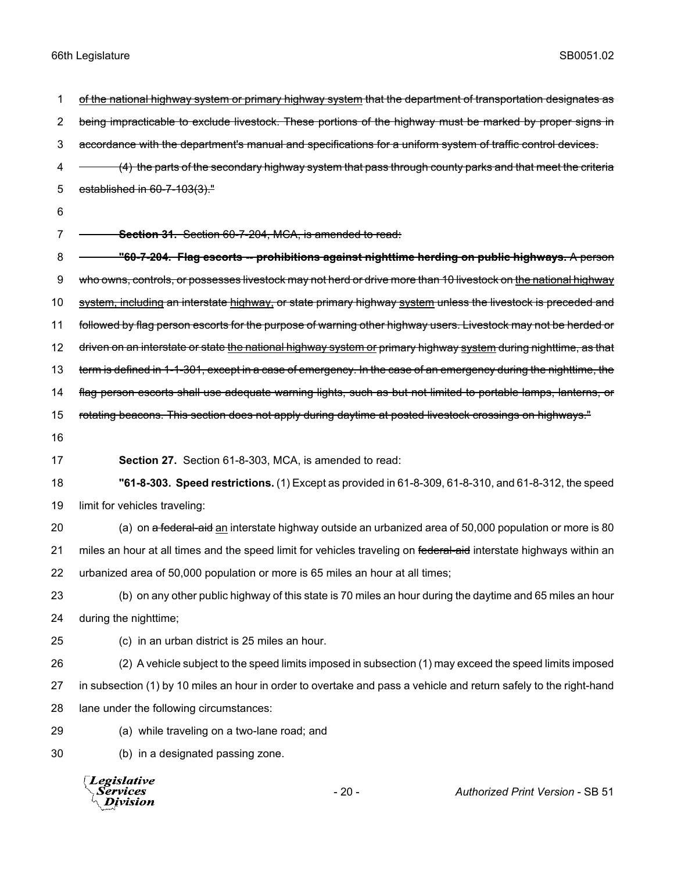2 being impracticable to exclude livestock. These portions of the highway must be marked by proper signs in 3 accordance with the department's manual and specifications for a uniform system of traffic control devices. 4 - (4) the parts of the secondary highway system that pass through county parks and that meet the criteria 5 established in 60-7-103(3)." 6 7 **Section 31.** Section 60-7-204, MCA, is amended to read: 8 **"60-7-204. Flag escorts -- prohibitions against nighttime herding on public highways.** A person 9 who owns, controls, or possesses livestock may not herd or drive more than 10 livestock on the national highway 10 system, including an interstate highway, or state primary highway system unless the livestock is preceded and 11 followed by flag person escorts for the purpose of warning other highway users. Livestock may not be herded or 12 driven on an interstate or state the national highway system or primary highway system during nighttime, as that 13 term is defined in 1-1-301, except in a case of emergency. In the case of an emergency during the nighttime, the 14 flag person escorts shall use adequate warning lights, such as but not limited to portable lamps, lanterns, or 15 rotating beacons. This section does not apply during daytime at posted livestock crossings on highways." 16 17 **Section 27.** Section 61-8-303, MCA, is amended to read: 18 **"61-8-303. Speed restrictions.** (1) Except as provided in 61-8-309, 61-8-310, and 61-8-312, the speed 19 limit for vehicles traveling: 20 (a) on a federal-aid an interstate highway outside an urbanized area of 50,000 population or more is 80 21 miles an hour at all times and the speed limit for vehicles traveling on federal-aid interstate highways within an 22 urbanized area of 50,000 population or more is 65 miles an hour at all times; 23 (b) on any other public highway of this state is 70 miles an hour during the daytime and 65 miles an hour 24 during the nighttime; 25 (c) in an urban district is 25 miles an hour. 26 (2) A vehicle subject to the speed limits imposed in subsection (1) may exceed the speed limits imposed 27 in subsection (1) by 10 miles an hour in order to overtake and pass a vehicle and return safely to the right-hand 28 lane under the following circumstances: 29 (a) while traveling on a two-lane road; and 30 (b) in a designated passing zone. **Legislative** *Services* - 20 - *Authorized Print Version* - SB 51**Division** 

1 of the national highway system or primary highway system that the department of transportation designates as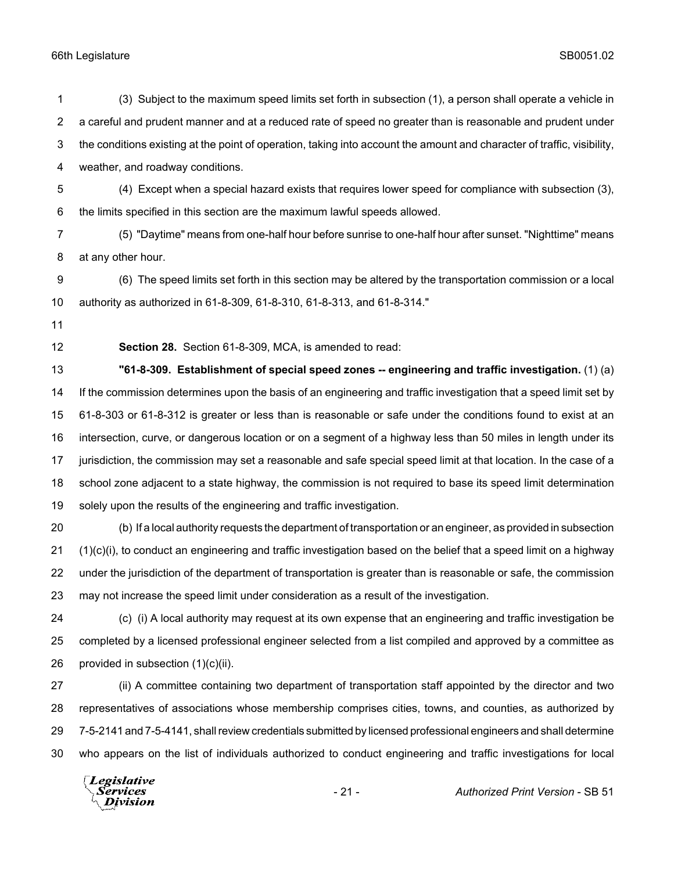(3) Subject to the maximum speed limits set forth in subsection (1), a person shall operate a vehicle in a careful and prudent manner and at a reduced rate of speed no greater than is reasonable and prudent under the conditions existing at the point of operation, taking into account the amount and character of traffic, visibility, weather, and roadway conditions. (4) Except when a special hazard exists that requires lower speed for compliance with subsection (3), the limits specified in this section are the maximum lawful speeds allowed. (5) "Daytime" means from one-half hour before sunrise to one-half hour after sunset. "Nighttime" means at any other hour. (6) The speed limits set forth in this section may be altered by the transportation commission or a local authority as authorized in 61-8-309, 61-8-310, 61-8-313, and 61-8-314." **Section 28.** Section 61-8-309, MCA, is amended to read: **"61-8-309. Establishment of special speed zones -- engineering and traffic investigation.** (1) (a) If the commission determines upon the basis of an engineering and traffic investigation that a speed limit set by 61-8-303 or 61-8-312 is greater or less than is reasonable or safe under the conditions found to exist at an intersection, curve, or dangerous location or on a segment of a highway less than 50 miles in length under its jurisdiction, the commission may set a reasonable and safe special speed limit at that location. In the case of a school zone adjacent to a state highway, the commission is not required to base its speed limit determination solely upon the results of the engineering and traffic investigation. (b) If a local authority requests the department of transportation or an engineer, as provided in subsection (1)(c)(i), to conduct an engineering and traffic investigation based on the belief that a speed limit on a highway under the jurisdiction of the department of transportation is greater than is reasonable or safe, the commission may not increase the speed limit under consideration as a result of the investigation. (c) (i) A local authority may request at its own expense that an engineering and traffic investigation be completed by a licensed professional engineer selected from a list compiled and approved by a committee as provided in subsection (1)(c)(ii). (ii) A committee containing two department of transportation staff appointed by the director and two representatives of associations whose membership comprises cities, towns, and counties, as authorized by 7-5-2141 and 7-5-4141, shall review credentials submitted by licensed professional engineers and shall determine who appears on the list of individuals authorized to conduct engineering and traffic investigations for local

Legislative *Services* **Division**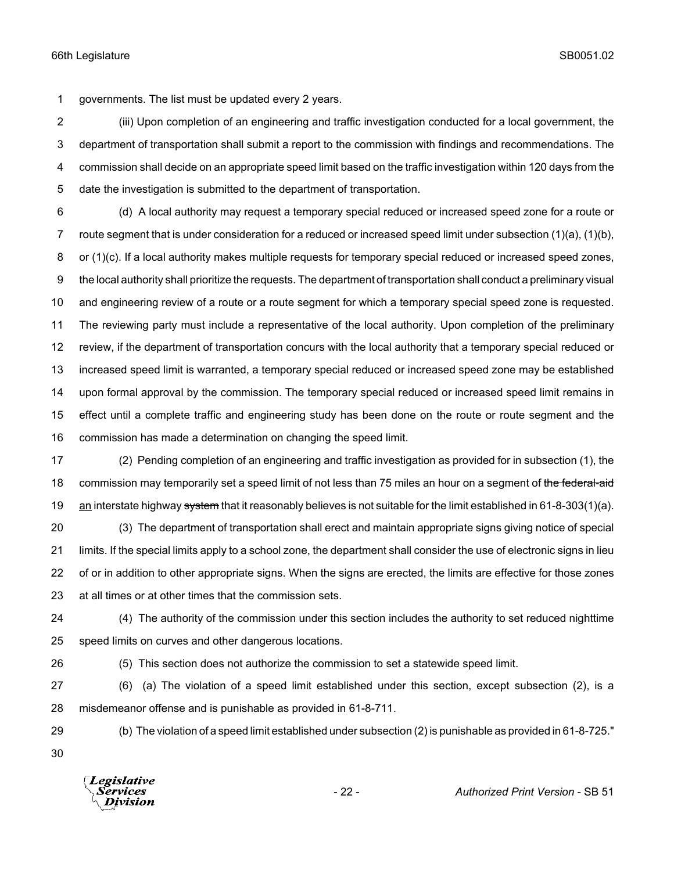governments. The list must be updated every 2 years.

 (iii) Upon completion of an engineering and traffic investigation conducted for a local government, the department of transportation shall submit a report to the commission with findings and recommendations. The commission shall decide on an appropriate speed limit based on the traffic investigation within 120 days from the date the investigation is submitted to the department of transportation.

 (d) A local authority may request a temporary special reduced or increased speed zone for a route or route segment that is under consideration for a reduced or increased speed limit under subsection (1)(a), (1)(b), 8 or (1)(c). If a local authority makes multiple requests for temporary special reduced or increased speed zones, the local authority shall prioritize the requests. The department of transportation shall conduct a preliminary visual and engineering review of a route or a route segment for which a temporary special speed zone is requested. The reviewing party must include a representative of the local authority. Upon completion of the preliminary review, if the department of transportation concurs with the local authority that a temporary special reduced or increased speed limit is warranted, a temporary special reduced or increased speed zone may be established upon formal approval by the commission. The temporary special reduced or increased speed limit remains in effect until a complete traffic and engineering study has been done on the route or route segment and the commission has made a determination on changing the speed limit.

 (2) Pending completion of an engineering and traffic investigation as provided for in subsection (1), the 18 commission may temporarily set a speed limit of not less than 75 miles an hour on a segment of the federal-aid 19 an interstate highway system that it reasonably believes is not suitable for the limit established in 61-8-303(1)(a).

 (3) The department of transportation shall erect and maintain appropriate signs giving notice of special limits. If the special limits apply to a school zone, the department shall consider the use of electronic signs in lieu of or in addition to other appropriate signs. When the signs are erected, the limits are effective for those zones at all times or at other times that the commission sets.

 (4) The authority of the commission under this section includes the authority to set reduced nighttime speed limits on curves and other dangerous locations.

(5) This section does not authorize the commission to set a statewide speed limit.

 (6) (a) The violation of a speed limit established under this section, except subsection (2), is a misdemeanor offense and is punishable as provided in 61-8-711.

(b) The violation of a speed limit established under subsection (2) is punishable as provided in 61-8-725."

**Legislative** Division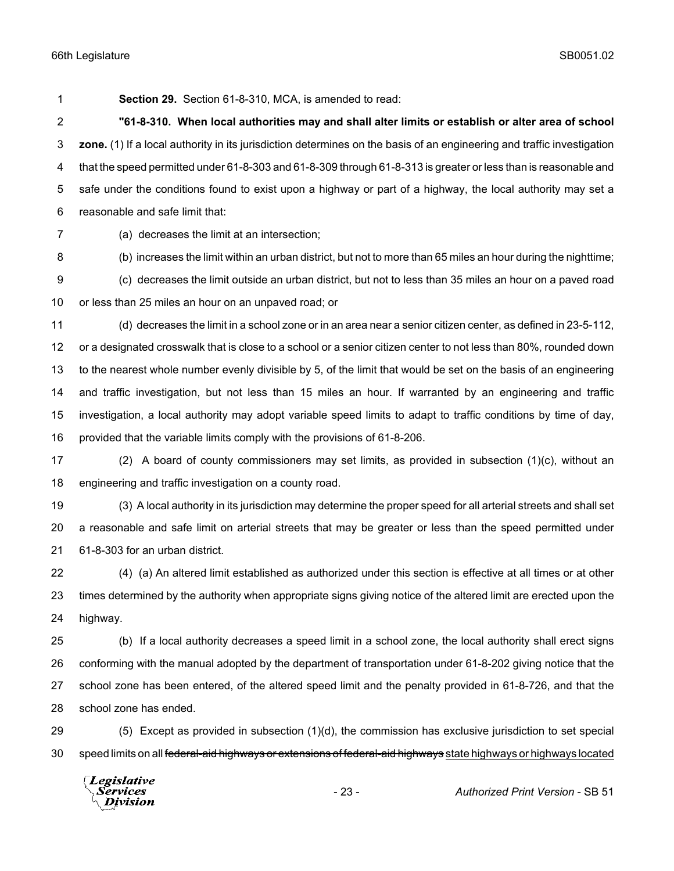**Section 29.** Section 61-8-310, MCA, is amended to read:

 **"61-8-310. When local authorities may and shall alter limits or establish or alter area of school zone.** (1) If a local authority in its jurisdiction determines on the basis of an engineering and traffic investigation that the speed permitted under 61-8-303 and 61-8-309 through 61-8-313 is greater or less than is reasonable and safe under the conditions found to exist upon a highway or part of a highway, the local authority may set a reasonable and safe limit that:

(a) decreases the limit at an intersection;

(b) increases the limit within an urban district, but not to more than 65 miles an hour during the nighttime;

 (c) decreases the limit outside an urban district, but not to less than 35 miles an hour on a paved road or less than 25 miles an hour on an unpaved road; or

 (d) decreases the limit in a school zone or in an area near a senior citizen center, as defined in 23-5-112, or a designated crosswalk that is close to a school or a senior citizen center to not less than 80%, rounded down to the nearest whole number evenly divisible by 5, of the limit that would be set on the basis of an engineering and traffic investigation, but not less than 15 miles an hour. If warranted by an engineering and traffic investigation, a local authority may adopt variable speed limits to adapt to traffic conditions by time of day, provided that the variable limits comply with the provisions of 61-8-206.

 (2) A board of county commissioners may set limits, as provided in subsection (1)(c), without an engineering and traffic investigation on a county road.

 (3) A local authority in its jurisdiction may determine the proper speed for all arterial streets and shall set a reasonable and safe limit on arterial streets that may be greater or less than the speed permitted under 61-8-303 for an urban district.

 (4) (a) An altered limit established as authorized under this section is effective at all times or at other times determined by the authority when appropriate signs giving notice of the altered limit are erected upon the highway.

 (b) If a local authority decreases a speed limit in a school zone, the local authority shall erect signs conforming with the manual adopted by the department of transportation under 61-8-202 giving notice that the school zone has been entered, of the altered speed limit and the penalty provided in 61-8-726, and that the school zone has ended.

 (5) Except as provided in subsection (1)(d), the commission has exclusive jurisdiction to set special 30 speed limits on all federal-aid highways or extensions of federal-aid highways state highways or highways located

Legislative Services **Division** 

- 23 - *Authorized Print Version* - SB 51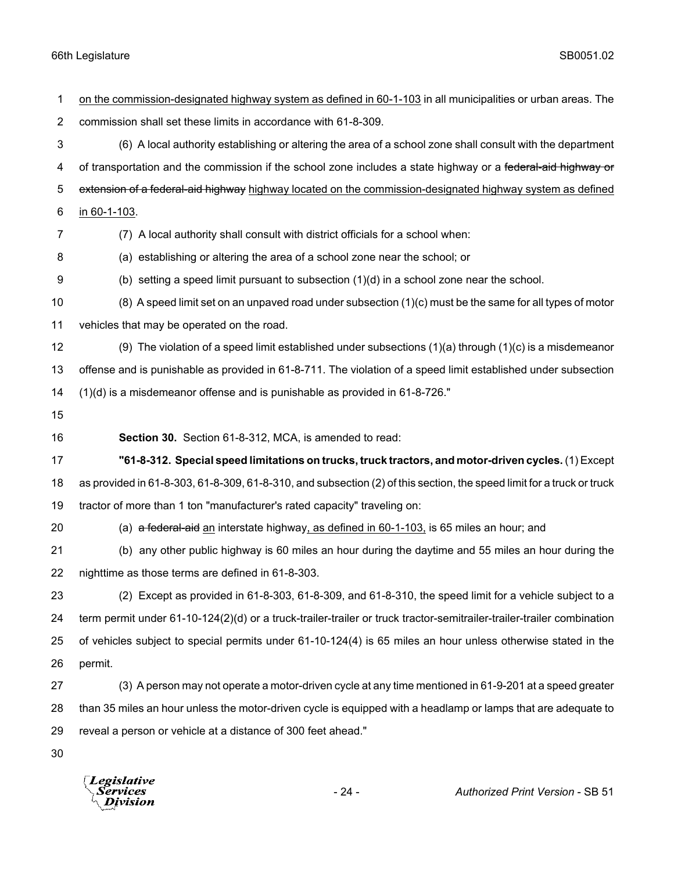| $\mathbf 1$    | on the commission-designated highway system as defined in 60-1-103 in all municipalities or urban areas. The          |
|----------------|-----------------------------------------------------------------------------------------------------------------------|
| $\overline{2}$ | commission shall set these limits in accordance with 61-8-309.                                                        |
| $\sqrt{3}$     | (6) A local authority establishing or altering the area of a school zone shall consult with the department            |
| 4              | of transportation and the commission if the school zone includes a state highway or a federal-aid highway or          |
| 5              | extension of a federal-aid highway highway located on the commission-designated highway system as defined             |
| 6              | in 60-1-103.                                                                                                          |
| 7              | (7) A local authority shall consult with district officials for a school when:                                        |
| 8              | (a) establishing or altering the area of a school zone near the school; or                                            |
| 9              | (b) setting a speed limit pursuant to subsection (1)(d) in a school zone near the school.                             |
| 10             | $(8)$ A speed limit set on an unpaved road under subsection $(1)(c)$ must be the same for all types of motor          |
| 11             | vehicles that may be operated on the road.                                                                            |
| 12             | (9) The violation of a speed limit established under subsections $(1)(a)$ through $(1)(c)$ is a misdemeanor           |
| 13             | offense and is punishable as provided in 61-8-711. The violation of a speed limit established under subsection        |
| 14             | (1)(d) is a misdemeanor offense and is punishable as provided in 61-8-726."                                           |
| 15             |                                                                                                                       |
| 16             | Section 30. Section 61-8-312, MCA, is amended to read:                                                                |
|                | "61-8-312. Special speed limitations on trucks, truck tractors, and motor-driven cycles. (1) Except                   |
| 17             |                                                                                                                       |
| 18             | as provided in 61-8-303, 61-8-309, 61-8-310, and subsection (2) of this section, the speed limit for a truck or truck |
| 19             | tractor of more than 1 ton "manufacturer's rated capacity" traveling on:                                              |
| 20             | (a) a federal-aid an interstate highway, as defined in 60-1-103, is 65 miles an hour; and                             |
| 21             | (b) any other public highway is 60 miles an hour during the daytime and 55 miles an hour during the                   |
| 22             | nighttime as those terms are defined in 61-8-303.                                                                     |
| 23             | (2) Except as provided in 61-8-303, 61-8-309, and 61-8-310, the speed limit for a vehicle subject to a                |
| 24             | term permit under 61-10-124(2)(d) or a truck-trailer-trailer or truck tractor-semitrailer-trailer-trailer combination |
| 25             | of vehicles subject to special permits under 61-10-124(4) is 65 miles an hour unless otherwise stated in the          |
| 26             | permit.                                                                                                               |
| 27             | (3) A person may not operate a motor-driven cycle at any time mentioned in 61-9-201 at a speed greater                |
| 28             | than 35 miles an hour unless the motor-driven cycle is equipped with a headlamp or lamps that are adequate to         |
| 29             | reveal a person or vehicle at a distance of 300 feet ahead."                                                          |

*Legislative*<br>Services<br>*Division*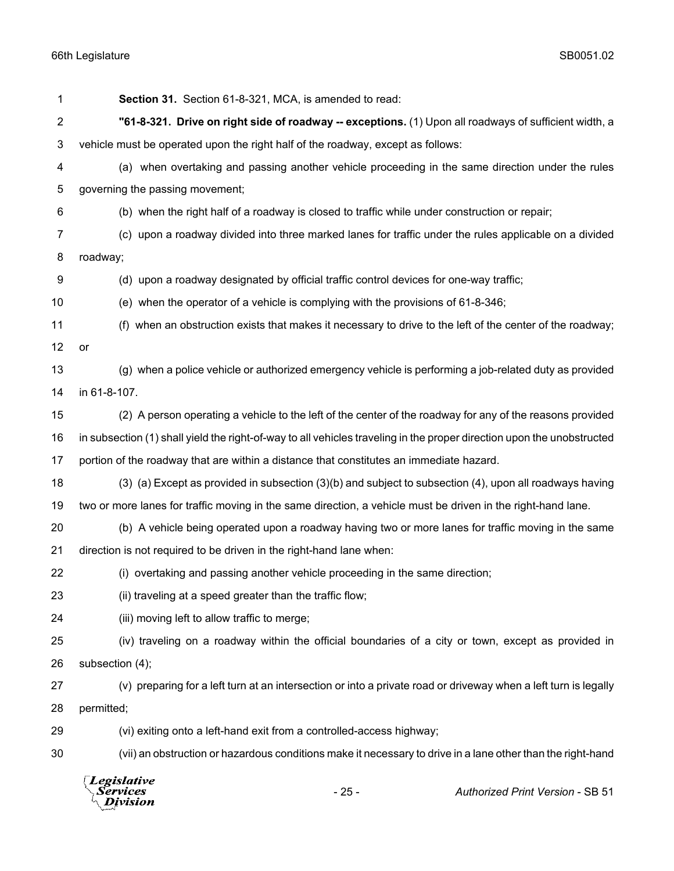| $\overline{2}$ | "61-8-321. Drive on right side of roadway -- exceptions. (1) Upon all roadways of sufficient width, a                  |  |  |
|----------------|------------------------------------------------------------------------------------------------------------------------|--|--|
| 3              | vehicle must be operated upon the right half of the roadway, except as follows:                                        |  |  |
| 4              | (a) when overtaking and passing another vehicle proceeding in the same direction under the rules                       |  |  |
| 5              | governing the passing movement;                                                                                        |  |  |
| 6              | (b) when the right half of a roadway is closed to traffic while under construction or repair;                          |  |  |
| 7              | (c) upon a roadway divided into three marked lanes for traffic under the rules applicable on a divided                 |  |  |
| 8              | roadway;                                                                                                               |  |  |
| 9              | (d) upon a roadway designated by official traffic control devices for one-way traffic;                                 |  |  |
| 10             | (e) when the operator of a vehicle is complying with the provisions of 61-8-346;                                       |  |  |
| 11             | (f) when an obstruction exists that makes it necessary to drive to the left of the center of the roadway;              |  |  |
| 12             | or                                                                                                                     |  |  |
| 13             | (g) when a police vehicle or authorized emergency vehicle is performing a job-related duty as provided                 |  |  |
| 14             | in 61-8-107.                                                                                                           |  |  |
| 15             | (2) A person operating a vehicle to the left of the center of the roadway for any of the reasons provided              |  |  |
| 16             | in subsection (1) shall yield the right-of-way to all vehicles traveling in the proper direction upon the unobstructed |  |  |
| 17             | portion of the roadway that are within a distance that constitutes an immediate hazard.                                |  |  |
| 18             | (3) (a) Except as provided in subsection (3)(b) and subject to subsection (4), upon all roadways having                |  |  |
| 19             | two or more lanes for traffic moving in the same direction, a vehicle must be driven in the right-hand lane.           |  |  |
| 20             | (b) A vehicle being operated upon a roadway having two or more lanes for traffic moving in the same                    |  |  |
| 21             | direction is not required to be driven in the right-hand lane when:                                                    |  |  |
| 22             | (i) overtaking and passing another vehicle proceeding in the same direction;                                           |  |  |
| 23             | (ii) traveling at a speed greater than the traffic flow;                                                               |  |  |
| 24             | (iii) moving left to allow traffic to merge;                                                                           |  |  |
| 25             | (iv) traveling on a roadway within the official boundaries of a city or town, except as provided in                    |  |  |
| 26             | subsection (4);                                                                                                        |  |  |
| 27             | (v) preparing for a left turn at an intersection or into a private road or driveway when a left turn is legally        |  |  |
| 28             | permitted;                                                                                                             |  |  |
| 29             | (vi) exiting onto a left-hand exit from a controlled-access highway;                                                   |  |  |
| 30             | (vii) an obstruction or hazardous conditions make it necessary to drive in a lane other than the right-hand            |  |  |
|                | Legislative<br>$-25-$<br><b>Authorized Print Version - SB 51</b><br>Services<br>Division                               |  |  |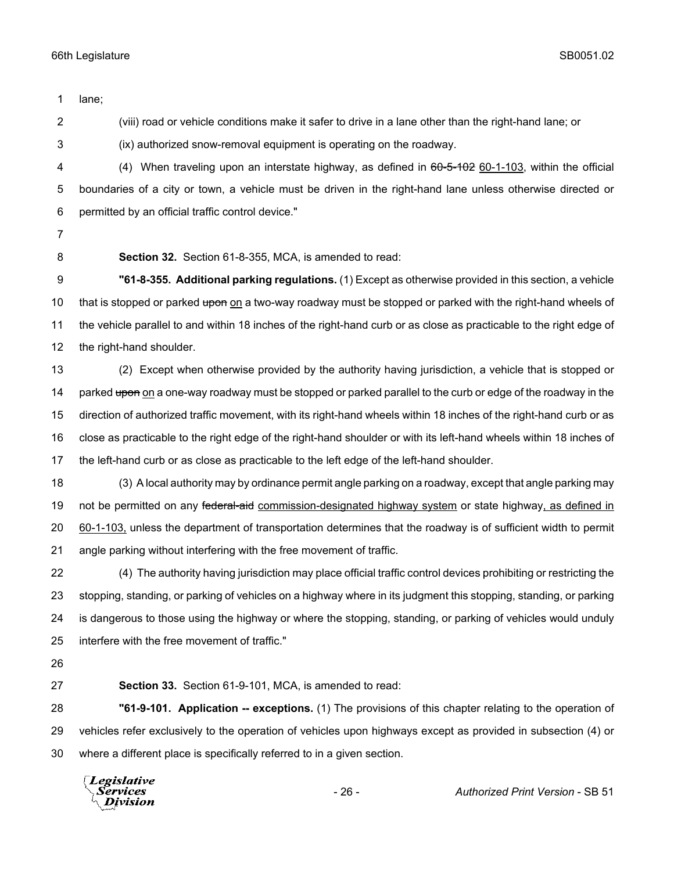lane; (viii) road or vehicle conditions make it safer to drive in a lane other than the right-hand lane; or (ix) authorized snow-removal equipment is operating on the roadway. 4 (4) When traveling upon an interstate highway, as defined in  $60-5-102$  60-1-103, within the official boundaries of a city or town, a vehicle must be driven in the right-hand lane unless otherwise directed or permitted by an official traffic control device." **Section 32.** Section 61-8-355, MCA, is amended to read: **"61-8-355. Additional parking regulations.** (1) Except as otherwise provided in this section, a vehicle 10 that is stopped or parked upon on a two-way roadway must be stopped or parked with the right-hand wheels of the vehicle parallel to and within 18 inches of the right-hand curb or as close as practicable to the right edge of the right-hand shoulder. (2) Except when otherwise provided by the authority having jurisdiction, a vehicle that is stopped or 14 parked upon on a one-way roadway must be stopped or parked parallel to the curb or edge of the roadway in the direction of authorized traffic movement, with its right-hand wheels within 18 inches of the right-hand curb or as close as practicable to the right edge of the right-hand shoulder or with its left-hand wheels within 18 inches of the left-hand curb or as close as practicable to the left edge of the left-hand shoulder. (3) A local authority may by ordinance permit angle parking on a roadway, except that angle parking may 19 not be permitted on any federal-aid commission-designated highway system or state highway, as defined in 60-1-103, unless the department of transportation determines that the roadway is of sufficient width to permit angle parking without interfering with the free movement of traffic. (4) The authority having jurisdiction may place official traffic control devices prohibiting or restricting the stopping, standing, or parking of vehicles on a highway where in its judgment this stopping, standing, or parking is dangerous to those using the highway or where the stopping, standing, or parking of vehicles would unduly interfere with the free movement of traffic." **Section 33.** Section 61-9-101, MCA, is amended to read: **"61-9-101. Application -- exceptions.** (1) The provisions of this chapter relating to the operation of vehicles refer exclusively to the operation of vehicles upon highways except as provided in subsection (4) or where a different place is specifically referred to in a given section. **Legislative** Services **Division** 

- 26 - *Authorized Print Version* - SB 51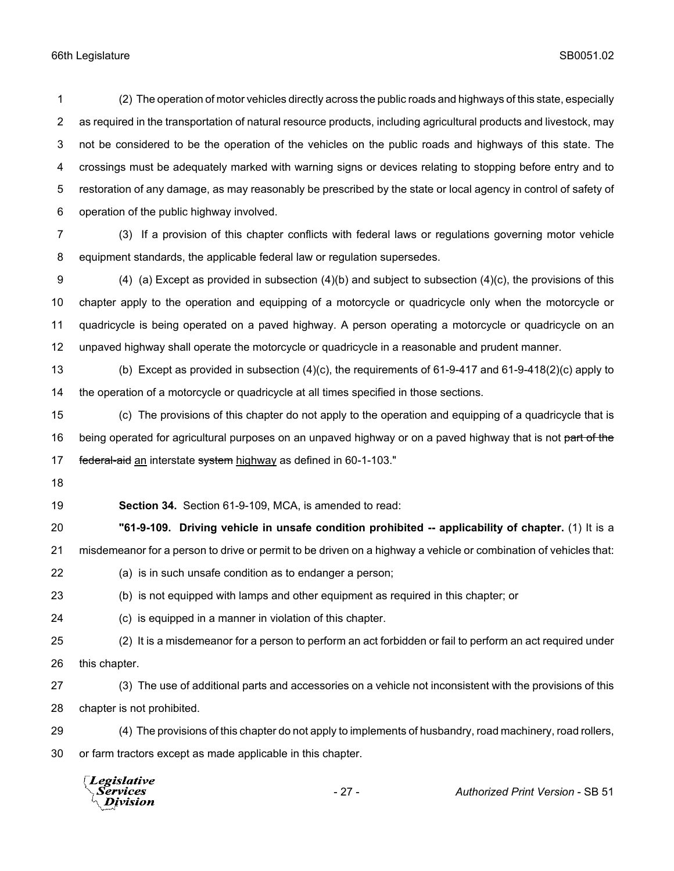(2) The operation of motor vehicles directly across the public roads and highways of this state, especially as required in the transportation of natural resource products, including agricultural products and livestock, may not be considered to be the operation of the vehicles on the public roads and highways of this state. The crossings must be adequately marked with warning signs or devices relating to stopping before entry and to restoration of any damage, as may reasonably be prescribed by the state or local agency in control of safety of operation of the public highway involved.

 (3) If a provision of this chapter conflicts with federal laws or regulations governing motor vehicle equipment standards, the applicable federal law or regulation supersedes.

 (4) (a) Except as provided in subsection (4)(b) and subject to subsection (4)(c), the provisions of this chapter apply to the operation and equipping of a motorcycle or quadricycle only when the motorcycle or quadricycle is being operated on a paved highway. A person operating a motorcycle or quadricycle on an unpaved highway shall operate the motorcycle or quadricycle in a reasonable and prudent manner.

 (b) Except as provided in subsection (4)(c), the requirements of 61-9-417 and 61-9-418(2)(c) apply to the operation of a motorcycle or quadricycle at all times specified in those sections.

 (c) The provisions of this chapter do not apply to the operation and equipping of a quadricycle that is 16 being operated for agricultural purposes on an unpaved highway or on a paved highway that is not part of the 17 federal-aid an interstate system highway as defined in 60-1-103."

**Section 34.** Section 61-9-109, MCA, is amended to read:

 **"61-9-109. Driving vehicle in unsafe condition prohibited -- applicability of chapter.** (1) It is a misdemeanor for a person to drive or permit to be driven on a highway a vehicle or combination of vehicles that:

- (a) is in such unsafe condition as to endanger a person;
- (b) is not equipped with lamps and other equipment as required in this chapter; or
- (c) is equipped in a manner in violation of this chapter.
- (2) It is a misdemeanor for a person to perform an act forbidden or fail to perform an act required under this chapter.
- (3) The use of additional parts and accessories on a vehicle not inconsistent with the provisions of this chapter is not prohibited.
- (4) The provisions of this chapter do not apply to implements of husbandry, road machinery, road rollers, or farm tractors except as made applicable in this chapter.

| $\Lambda$ Division | <i>Legislative</i><br>Services | $-27-$ | <b>Authorized Print Version - SB 51</b> |
|--------------------|--------------------------------|--------|-----------------------------------------|
|--------------------|--------------------------------|--------|-----------------------------------------|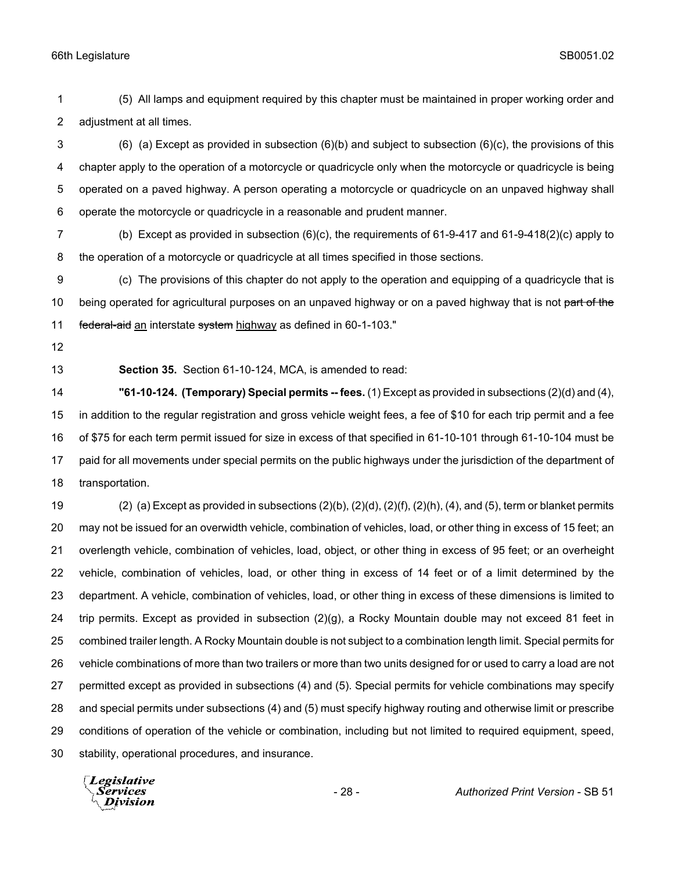(5) All lamps and equipment required by this chapter must be maintained in proper working order and adjustment at all times.

 (6) (a) Except as provided in subsection (6)(b) and subject to subsection (6)(c), the provisions of this chapter apply to the operation of a motorcycle or quadricycle only when the motorcycle or quadricycle is being operated on a paved highway. A person operating a motorcycle or quadricycle on an unpaved highway shall operate the motorcycle or quadricycle in a reasonable and prudent manner.

 (b) Except as provided in subsection (6)(c), the requirements of 61-9-417 and 61-9-418(2)(c) apply to the operation of a motorcycle or quadricycle at all times specified in those sections.

 (c) The provisions of this chapter do not apply to the operation and equipping of a quadricycle that is 10 being operated for agricultural purposes on an unpaved highway or on a paved highway that is not part of the 11 federal-aid an interstate system highway as defined in 60-1-103."

**Section 35.** Section 61-10-124, MCA, is amended to read:

 **"61-10-124. (Temporary) Special permits -- fees.** (1) Except as provided in subsections (2)(d) and (4), in addition to the regular registration and gross vehicle weight fees, a fee of \$10 for each trip permit and a fee of \$75 for each term permit issued for size in excess of that specified in 61-10-101 through 61-10-104 must be paid for all movements under special permits on the public highways under the jurisdiction of the department of transportation.

 (2) (a) Except as provided in subsections (2)(b), (2)(d), (2)(f), (2)(h), (4), and (5), term or blanket permits may not be issued for an overwidth vehicle, combination of vehicles, load, or other thing in excess of 15 feet; an overlength vehicle, combination of vehicles, load, object, or other thing in excess of 95 feet; or an overheight vehicle, combination of vehicles, load, or other thing in excess of 14 feet or of a limit determined by the department. A vehicle, combination of vehicles, load, or other thing in excess of these dimensions is limited to trip permits. Except as provided in subsection (2)(g), a Rocky Mountain double may not exceed 81 feet in combined trailer length. A Rocky Mountain double is not subject to a combination length limit. Special permits for vehicle combinations of more than two trailers or more than two units designed for or used to carry a load are not permitted except as provided in subsections (4) and (5). Special permits for vehicle combinations may specify and special permits under subsections (4) and (5) must specify highway routing and otherwise limit or prescribe conditions of operation of the vehicle or combination, including but not limited to required equipment, speed, stability, operational procedures, and insurance.

Legislative *Services* **Division**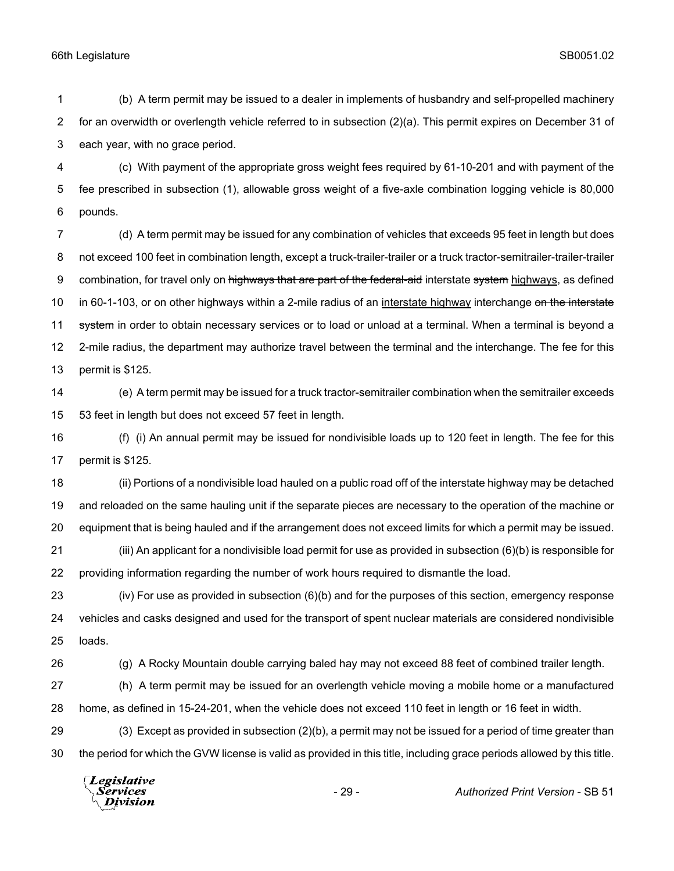(b) A term permit may be issued to a dealer in implements of husbandry and self-propelled machinery for an overwidth or overlength vehicle referred to in subsection (2)(a). This permit expires on December 31 of each year, with no grace period.

 (c) With payment of the appropriate gross weight fees required by 61-10-201 and with payment of the fee prescribed in subsection (1), allowable gross weight of a five-axle combination logging vehicle is 80,000 pounds.

 (d) A term permit may be issued for any combination of vehicles that exceeds 95 feet in length but does 8 not exceed 100 feet in combination length, except a truck-trailer-trailer or a truck tractor-semitrailer-trailer-trailer 9 combination, for travel only on highways that are part of the federal-aid interstate system highways, as defined 10 in 60-1-103, or on other highways within a 2-mile radius of an interstate highway interchange on the interstate 11 system in order to obtain necessary services or to load or unload at a terminal. When a terminal is beyond a 2-mile radius, the department may authorize travel between the terminal and the interchange. The fee for this permit is \$125.

 (e) A term permit may be issued for a truck tractor-semitrailer combination when the semitrailer exceeds 53 feet in length but does not exceed 57 feet in length.

 (f) (i) An annual permit may be issued for nondivisible loads up to 120 feet in length. The fee for this permit is \$125.

 (ii) Portions of a nondivisible load hauled on a public road off of the interstate highway may be detached and reloaded on the same hauling unit if the separate pieces are necessary to the operation of the machine or equipment that is being hauled and if the arrangement does not exceed limits for which a permit may be issued. (iii) An applicant for a nondivisible load permit for use as provided in subsection (6)(b) is responsible for

providing information regarding the number of work hours required to dismantle the load.

 (iv) For use as provided in subsection (6)(b) and for the purposes of this section, emergency response vehicles and casks designed and used for the transport of spent nuclear materials are considered nondivisible loads.

(g) A Rocky Mountain double carrying baled hay may not exceed 88 feet of combined trailer length.

 (h) A term permit may be issued for an overlength vehicle moving a mobile home or a manufactured home, as defined in 15-24-201, when the vehicle does not exceed 110 feet in length or 16 feet in width.

 (3) Except as provided in subsection (2)(b), a permit may not be issued for a period of time greater than the period for which the GVW license is valid as provided in this title, including grace periods allowed by this title.

Legislative Services Division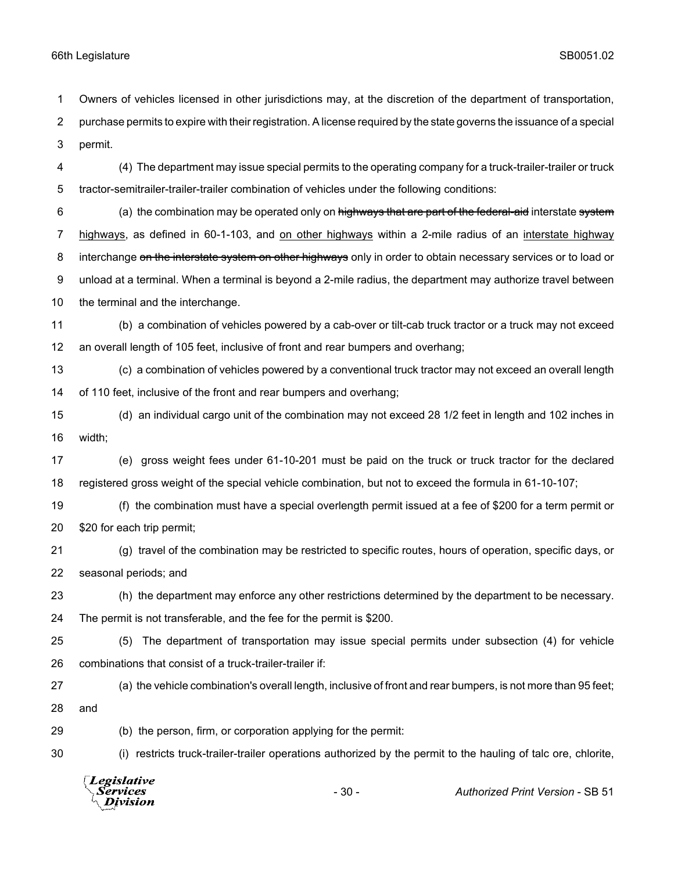Owners of vehicles licensed in other jurisdictions may, at the discretion of the department of transportation,

 purchase permits to expire with their registration. A license required by the state governs the issuance of a special permit.

 (4) The department may issue special permits to the operating company for a truck-trailer-trailer or truck tractor-semitrailer-trailer-trailer combination of vehicles under the following conditions:

6 (a) the combination may be operated only on highways that are part of the federal-aid interstate system highways, as defined in 60-1-103, and on other highways within a 2-mile radius of an interstate highway 8 interchange on the interstate system on other highways only in order to obtain necessary services or to load or unload at a terminal. When a terminal is beyond a 2-mile radius, the department may authorize travel between the terminal and the interchange.

- (b) a combination of vehicles powered by a cab-over or tilt-cab truck tractor or a truck may not exceed an overall length of 105 feet, inclusive of front and rear bumpers and overhang;
- (c) a combination of vehicles powered by a conventional truck tractor may not exceed an overall length of 110 feet, inclusive of the front and rear bumpers and overhang;
- (d) an individual cargo unit of the combination may not exceed 28 1/2 feet in length and 102 inches in width;
- (e) gross weight fees under 61-10-201 must be paid on the truck or truck tractor for the declared registered gross weight of the special vehicle combination, but not to exceed the formula in 61-10-107;
- (f) the combination must have a special overlength permit issued at a fee of \$200 for a term permit or \$20 for each trip permit;
- (g) travel of the combination may be restricted to specific routes, hours of operation, specific days, or seasonal periods; and
- (h) the department may enforce any other restrictions determined by the department to be necessary.

The permit is not transferable, and the fee for the permit is \$200.

- (5) The department of transportation may issue special permits under subsection (4) for vehicle combinations that consist of a truck-trailer-trailer if:
- (a) the vehicle combination's overall length, inclusive of front and rear bumpers, is not more than 95 feet; and

(b) the person, firm, or corporation applying for the permit:

(i) restricts truck-trailer-trailer operations authorized by the permit to the hauling of talc ore, chlorite,

Legislative Services - 30 - *Authorized Print Version* - SB 51**Division**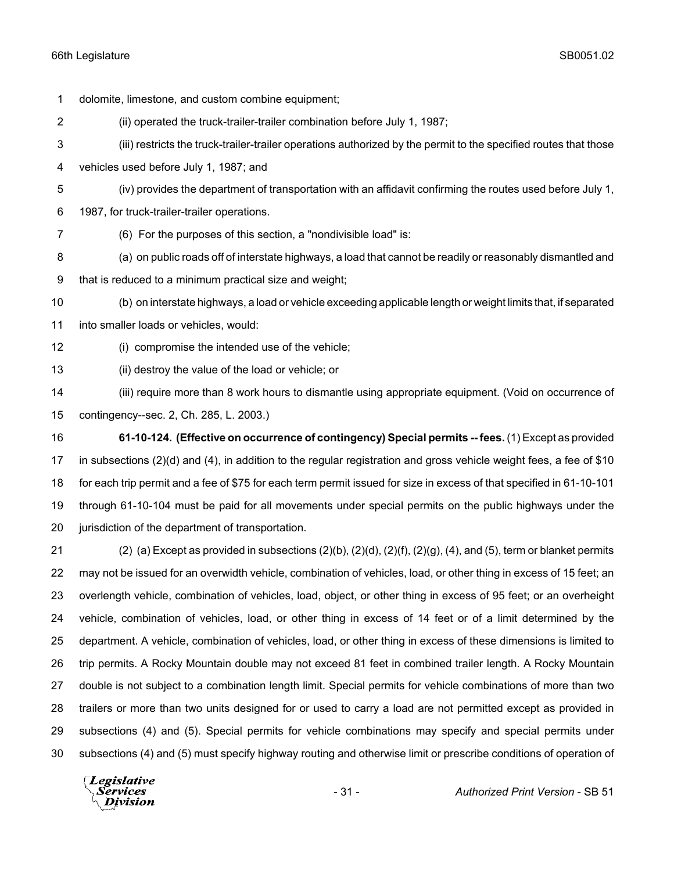dolomite, limestone, and custom combine equipment; (ii) operated the truck-trailer-trailer combination before July 1, 1987; (iii) restricts the truck-trailer-trailer operations authorized by the permit to the specified routes that those vehicles used before July 1, 1987; and (iv) provides the department of transportation with an affidavit confirming the routes used before July 1, 1987, for truck-trailer-trailer operations. (6) For the purposes of this section, a "nondivisible load" is: (a) on public roads off of interstate highways, a load that cannot be readily or reasonably dismantled and that is reduced to a minimum practical size and weight; (b) on interstate highways, a load or vehicle exceeding applicable length or weight limits that, if separated into smaller loads or vehicles, would: (i) compromise the intended use of the vehicle; (ii) destroy the value of the load or vehicle; or

 (iii) require more than 8 work hours to dismantle using appropriate equipment. (Void on occurrence of contingency--sec. 2, Ch. 285, L. 2003.)

 **61-10-124. (Effective on occurrence of contingency) Special permits -- fees.** (1) Except as provided in subsections (2)(d) and (4), in addition to the regular registration and gross vehicle weight fees, a fee of \$10 for each trip permit and a fee of \$75 for each term permit issued for size in excess of that specified in 61-10-101 through 61-10-104 must be paid for all movements under special permits on the public highways under the 20 iurisdiction of the department of transportation.

 (2) (a) Except as provided in subsections (2)(b), (2)(d), (2)(f), (2)(g), (4), and (5), term or blanket permits may not be issued for an overwidth vehicle, combination of vehicles, load, or other thing in excess of 15 feet; an overlength vehicle, combination of vehicles, load, object, or other thing in excess of 95 feet; or an overheight vehicle, combination of vehicles, load, or other thing in excess of 14 feet or of a limit determined by the department. A vehicle, combination of vehicles, load, or other thing in excess of these dimensions is limited to trip permits. A Rocky Mountain double may not exceed 81 feet in combined trailer length. A Rocky Mountain double is not subject to a combination length limit. Special permits for vehicle combinations of more than two trailers or more than two units designed for or used to carry a load are not permitted except as provided in subsections (4) and (5). Special permits for vehicle combinations may specify and special permits under subsections (4) and (5) must specify highway routing and otherwise limit or prescribe conditions of operation of

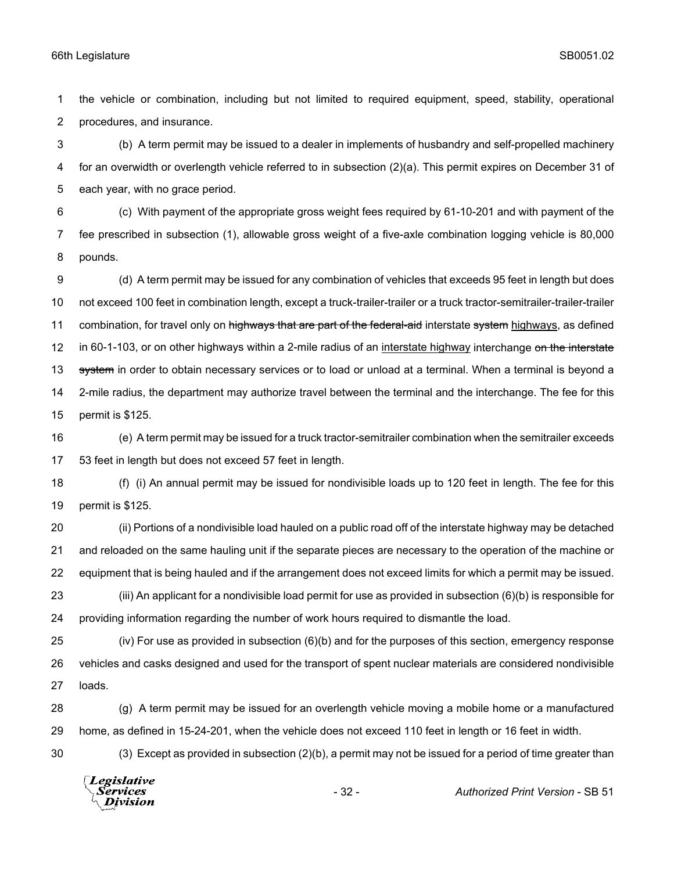the vehicle or combination, including but not limited to required equipment, speed, stability, operational procedures, and insurance.

 (b) A term permit may be issued to a dealer in implements of husbandry and self-propelled machinery for an overwidth or overlength vehicle referred to in subsection (2)(a). This permit expires on December 31 of each year, with no grace period.

 (c) With payment of the appropriate gross weight fees required by 61-10-201 and with payment of the fee prescribed in subsection (1), allowable gross weight of a five-axle combination logging vehicle is 80,000 pounds.

 (d) A term permit may be issued for any combination of vehicles that exceeds 95 feet in length but does not exceed 100 feet in combination length, except a truck-trailer-trailer or a truck tractor-semitrailer-trailer-trailer 11 combination, for travel only on highways that are part of the federal-aid interstate system highways, as defined 12 in 60-1-103, or on other highways within a 2-mile radius of an interstate highway interchange on the interstate 13 system in order to obtain necessary services or to load or unload at a terminal. When a terminal is beyond a 2-mile radius, the department may authorize travel between the terminal and the interchange. The fee for this permit is \$125.

 (e) A term permit may be issued for a truck tractor-semitrailer combination when the semitrailer exceeds 53 feet in length but does not exceed 57 feet in length.

 (f) (i) An annual permit may be issued for nondivisible loads up to 120 feet in length. The fee for this permit is \$125.

 (ii) Portions of a nondivisible load hauled on a public road off of the interstate highway may be detached and reloaded on the same hauling unit if the separate pieces are necessary to the operation of the machine or equipment that is being hauled and if the arrangement does not exceed limits for which a permit may be issued. (iii) An applicant for a nondivisible load permit for use as provided in subsection (6)(b) is responsible for

providing information regarding the number of work hours required to dismantle the load.

 (iv) For use as provided in subsection (6)(b) and for the purposes of this section, emergency response vehicles and casks designed and used for the transport of spent nuclear materials are considered nondivisible loads.

 (g) A term permit may be issued for an overlength vehicle moving a mobile home or a manufactured home, as defined in 15-24-201, when the vehicle does not exceed 110 feet in length or 16 feet in width.

(3) Except as provided in subsection (2)(b), a permit may not be issued for a period of time greater than

Legislative Services **Division**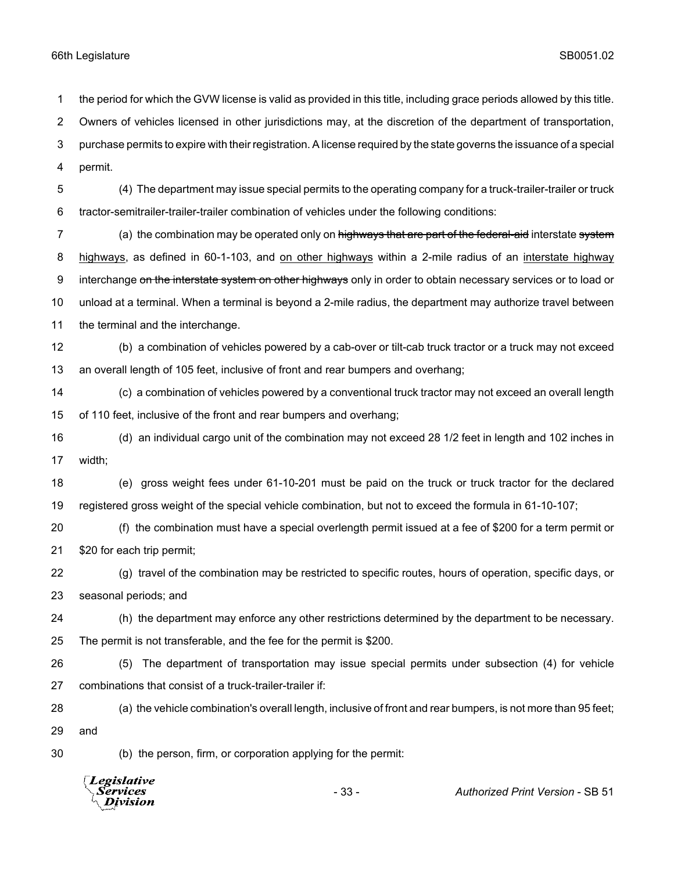*Services* **Division** 

 the period for which the GVW license is valid as provided in this title, including grace periods allowed by this title. Owners of vehicles licensed in other jurisdictions may, at the discretion of the department of transportation, purchase permits to expire with their registration. A license required by the state governs the issuance of a special permit. (4) The department may issue special permits to the operating company for a truck-trailer-trailer or truck tractor-semitrailer-trailer-trailer combination of vehicles under the following conditions: 7 (a) the combination may be operated only on highways that are part of the federal-aid interstate system highways, as defined in 60-1-103, and on other highways within a 2-mile radius of an interstate highway 9 interchange on the interstate system on other highways only in order to obtain necessary services or to load or unload at a terminal. When a terminal is beyond a 2-mile radius, the department may authorize travel between the terminal and the interchange. (b) a combination of vehicles powered by a cab-over or tilt-cab truck tractor or a truck may not exceed an overall length of 105 feet, inclusive of front and rear bumpers and overhang; (c) a combination of vehicles powered by a conventional truck tractor may not exceed an overall length of 110 feet, inclusive of the front and rear bumpers and overhang; (d) an individual cargo unit of the combination may not exceed 28 1/2 feet in length and 102 inches in width; (e) gross weight fees under 61-10-201 must be paid on the truck or truck tractor for the declared registered gross weight of the special vehicle combination, but not to exceed the formula in 61-10-107; (f) the combination must have a special overlength permit issued at a fee of \$200 for a term permit or \$20 for each trip permit; (g) travel of the combination may be restricted to specific routes, hours of operation, specific days, or seasonal periods; and (h) the department may enforce any other restrictions determined by the department to be necessary. The permit is not transferable, and the fee for the permit is \$200. (5) The department of transportation may issue special permits under subsection (4) for vehicle combinations that consist of a truck-trailer-trailer if: (a) the vehicle combination's overall length, inclusive of front and rear bumpers, is not more than 95 feet; and (b) the person, firm, or corporation applying for the permit: Legislative

- 33 - *Authorized Print Version* - SB 51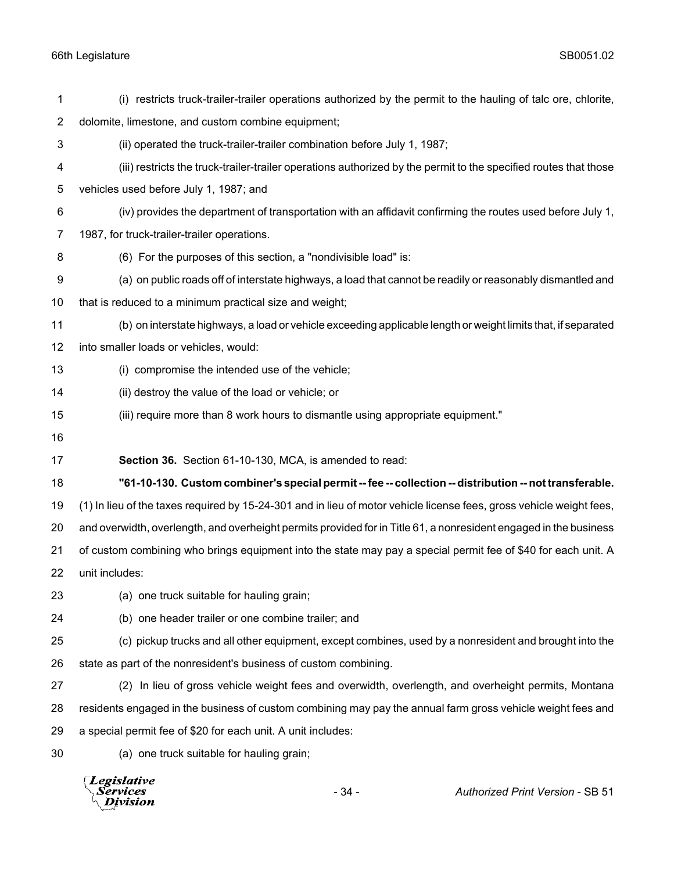| 1              | (i) restricts truck-trailer-trailer operations authorized by the permit to the hauling of talc ore, chlorite,        |  |  |
|----------------|----------------------------------------------------------------------------------------------------------------------|--|--|
| $\overline{2}$ | dolomite, limestone, and custom combine equipment;                                                                   |  |  |
| 3              | (ii) operated the truck-trailer-trailer combination before July 1, 1987;                                             |  |  |
| 4              | (iii) restricts the truck-trailer-trailer operations authorized by the permit to the specified routes that those     |  |  |
| 5              | vehicles used before July 1, 1987; and                                                                               |  |  |
| 6              | (iv) provides the department of transportation with an affidavit confirming the routes used before July 1,           |  |  |
| 7              | 1987, for truck-trailer-trailer operations.                                                                          |  |  |
| 8              | (6) For the purposes of this section, a "nondivisible load" is:                                                      |  |  |
| 9              | (a) on public roads off of interstate highways, a load that cannot be readily or reasonably dismantled and           |  |  |
| 10             | that is reduced to a minimum practical size and weight;                                                              |  |  |
| 11             | (b) on interstate highways, a load or vehicle exceeding applicable length or weight limits that, if separated        |  |  |
| 12             | into smaller loads or vehicles, would:                                                                               |  |  |
| 13             | (i) compromise the intended use of the vehicle;                                                                      |  |  |
| 14             | (ii) destroy the value of the load or vehicle; or                                                                    |  |  |
| 15             | (iii) require more than 8 work hours to dismantle using appropriate equipment."                                      |  |  |
| 16             |                                                                                                                      |  |  |
| 17             | Section 36. Section 61-10-130, MCA, is amended to read:                                                              |  |  |
| 18             | "61-10-130. Custom combiner's special permit -- fee -- collection -- distribution -- not transferable.               |  |  |
| 19             | (1) In lieu of the taxes required by 15-24-301 and in lieu of motor vehicle license fees, gross vehicle weight fees, |  |  |
| 20             | and overwidth, overlength, and overheight permits provided for in Title 61, a nonresident engaged in the business    |  |  |
| 21             | of custom combining who brings equipment into the state may pay a special permit fee of \$40 for each unit. A        |  |  |
| 22             | unit includes:                                                                                                       |  |  |
| 23             | (a) one truck suitable for hauling grain;                                                                            |  |  |
| 24             | (b) one header trailer or one combine trailer; and                                                                   |  |  |
| 25             | (c) pickup trucks and all other equipment, except combines, used by a nonresident and brought into the               |  |  |
| 26             | state as part of the nonresident's business of custom combining.                                                     |  |  |
| 27             | (2) In lieu of gross vehicle weight fees and overwidth, overlength, and overheight permits, Montana                  |  |  |
| 28             | residents engaged in the business of custom combining may pay the annual farm gross vehicle weight fees and          |  |  |
| 29             | a special permit fee of \$20 for each unit. A unit includes:                                                         |  |  |
| 30             | (a) one truck suitable for hauling grain;                                                                            |  |  |
|                | Legislative<br><b>Services</b><br>- 34 -<br><b>Authorized Print Version - SB 51</b><br>Iivision                      |  |  |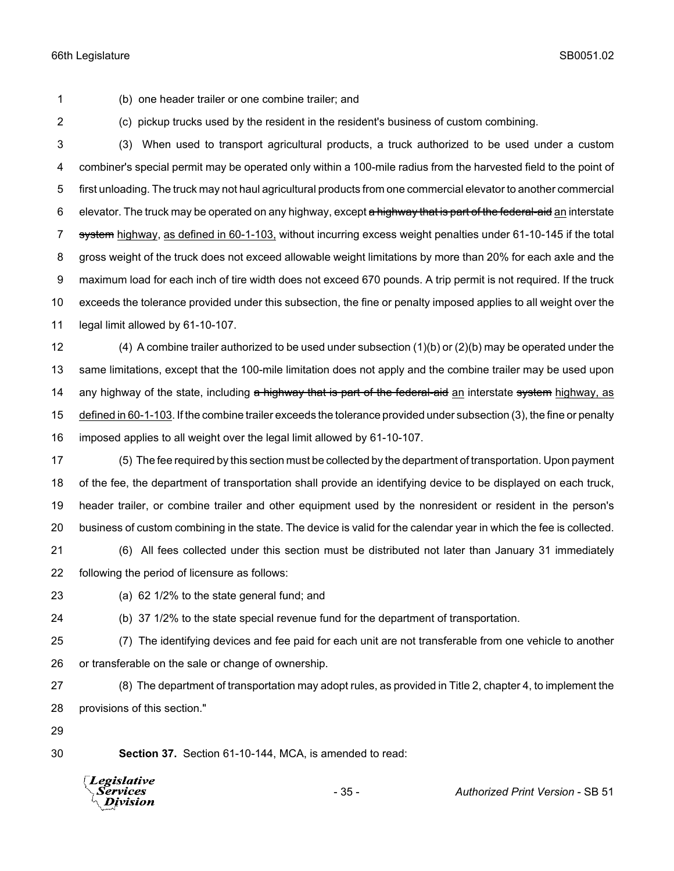(b) one header trailer or one combine trailer; and

(c) pickup trucks used by the resident in the resident's business of custom combining.

 (3) When used to transport agricultural products, a truck authorized to be used under a custom combiner's special permit may be operated only within a 100-mile radius from the harvested field to the point of first unloading. The truck may not haul agricultural products from one commercial elevator to another commercial 6 elevator. The truck may be operated on any highway, except a highway that is part of the federal-aid an interstate 7 system highway, as defined in 60-1-103, without incurring excess weight penalties under 61-10-145 if the total gross weight of the truck does not exceed allowable weight limitations by more than 20% for each axle and the maximum load for each inch of tire width does not exceed 670 pounds. A trip permit is not required. If the truck exceeds the tolerance provided under this subsection, the fine or penalty imposed applies to all weight over the legal limit allowed by 61-10-107.

 (4) A combine trailer authorized to be used under subsection (1)(b) or (2)(b) may be operated under the same limitations, except that the 100-mile limitation does not apply and the combine trailer may be used upon 14 any highway of the state, including a highway that is part of the federal-aid an interstate system highway, as defined in 60-1-103. If the combine trailer exceeds the tolerance provided under subsection (3), the fine or penalty imposed applies to all weight over the legal limit allowed by 61-10-107.

 (5) The fee required by this section must be collected by the department of transportation. Upon payment of the fee, the department of transportation shall provide an identifying device to be displayed on each truck, header trailer, or combine trailer and other equipment used by the nonresident or resident in the person's business of custom combining in the state. The device is valid for the calendar year in which the fee is collected.

 (6) All fees collected under this section must be distributed not later than January 31 immediately following the period of licensure as follows:

(a) 62 1/2% to the state general fund; and

(b) 37 1/2% to the state special revenue fund for the department of transportation.

 (7) The identifying devices and fee paid for each unit are not transferable from one vehicle to another or transferable on the sale or change of ownership.

 (8) The department of transportation may adopt rules, as provided in Title 2, chapter 4, to implement the provisions of this section."

**Section 37.** Section 61-10-144, MCA, is amended to read:



- 35 - *Authorized Print Version* - SB 51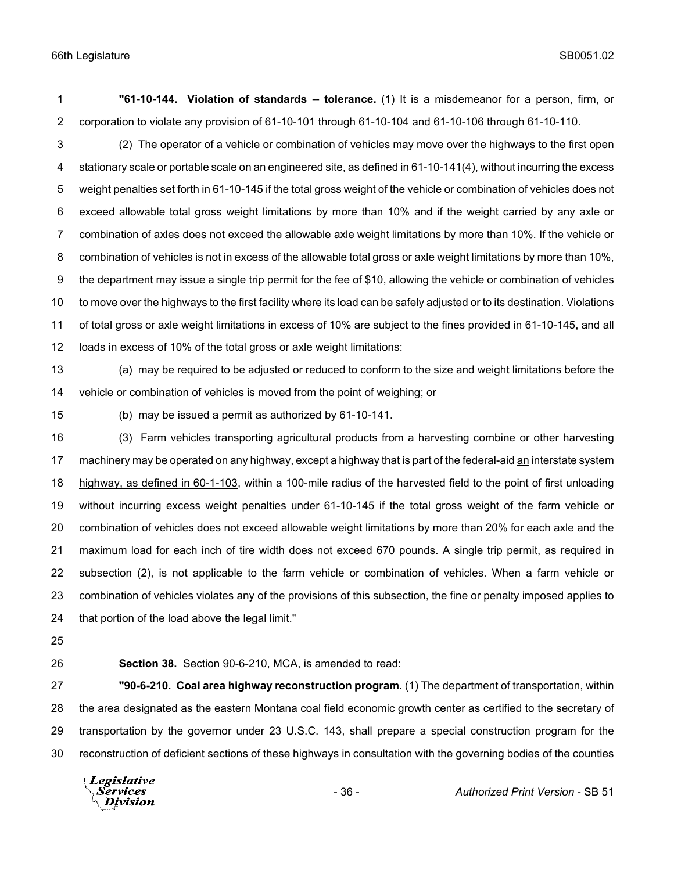**"61-10-144. Violation of standards -- tolerance.** (1) It is a misdemeanor for a person, firm, or corporation to violate any provision of 61-10-101 through 61-10-104 and 61-10-106 through 61-10-110.

 (2) The operator of a vehicle or combination of vehicles may move over the highways to the first open stationary scale or portable scale on an engineered site, as defined in 61-10-141(4), without incurring the excess weight penalties set forth in 61-10-145 if the total gross weight of the vehicle or combination of vehicles does not exceed allowable total gross weight limitations by more than 10% and if the weight carried by any axle or combination of axles does not exceed the allowable axle weight limitations by more than 10%. If the vehicle or combination of vehicles is not in excess of the allowable total gross or axle weight limitations by more than 10%, the department may issue a single trip permit for the fee of \$10, allowing the vehicle or combination of vehicles to move over the highways to the first facility where its load can be safely adjusted or to its destination. Violations of total gross or axle weight limitations in excess of 10% are subject to the fines provided in 61-10-145, and all loads in excess of 10% of the total gross or axle weight limitations:

 (a) may be required to be adjusted or reduced to conform to the size and weight limitations before the vehicle or combination of vehicles is moved from the point of weighing; or

(b) may be issued a permit as authorized by 61-10-141.

 (3) Farm vehicles transporting agricultural products from a harvesting combine or other harvesting 17 machinery may be operated on any highway, except a highway that is part of the federal-aid an interstate system 18 highway, as defined in 60-1-103, within a 100-mile radius of the harvested field to the point of first unloading without incurring excess weight penalties under 61-10-145 if the total gross weight of the farm vehicle or combination of vehicles does not exceed allowable weight limitations by more than 20% for each axle and the maximum load for each inch of tire width does not exceed 670 pounds. A single trip permit, as required in subsection (2), is not applicable to the farm vehicle or combination of vehicles. When a farm vehicle or combination of vehicles violates any of the provisions of this subsection, the fine or penalty imposed applies to that portion of the load above the legal limit."

- 
- 

**Section 38.** Section 90-6-210, MCA, is amended to read:

 **"90-6-210. Coal area highway reconstruction program.** (1) The department of transportation, within the area designated as the eastern Montana coal field economic growth center as certified to the secretary of transportation by the governor under 23 U.S.C. 143, shall prepare a special construction program for the reconstruction of deficient sections of these highways in consultation with the governing bodies of the counties